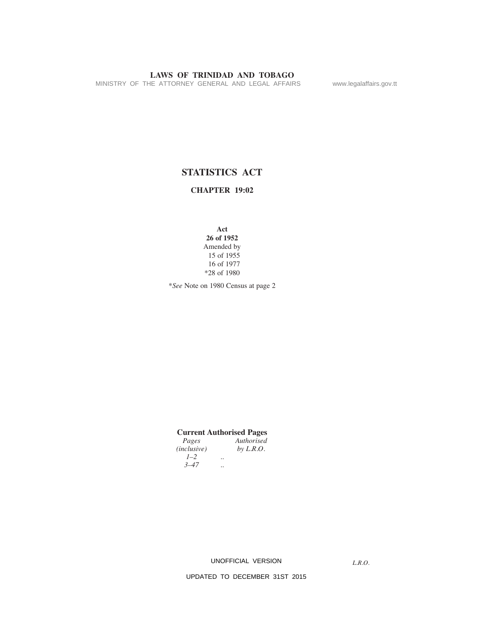MINISTRY OF THE ATTORNEY GENERAL AND LEGAL AFFAIRS www.legalaffairs.gov.tt

# **STATISTICS ACT**

**CHAPTER 19:02**

**Act 26 of 1952** Amended by 15 of 1955 16 of 1977 \*28 of 1980

\**See* Note on 1980 Census at page 2

# **Current Authorised Pages**

*Authorised*<br>by L.R.O. *(inclusive) 1–2 .. 3–47 ..* 

UNOFFICIAL VERSION

*L.R.O.*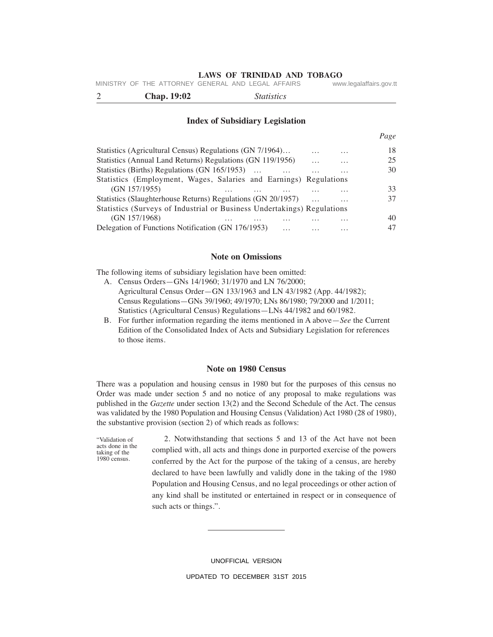MINISTRY OF THE ATTORNEY GENERAL AND LEGAL AFFAIRS www.legalaffairs.gov.tt

2 **Chap. 19:02** *Statistics*

#### **Index of Subsidiary Legislation**

|                                                                         |          |          | Page |
|-------------------------------------------------------------------------|----------|----------|------|
| Statistics (Agricultural Census) Regulations (GN 7/1964)                | $\cdots$ | $\cdots$ | 18   |
| Statistics (Annual Land Returns) Regulations (GN 119/1956)              | .        | $\cdots$ | 25   |
| Statistics (Births) Regulations (GN 165/1953)                           | .        | .        | 30   |
| Statistics (Employment, Wages, Salaries and Earnings) Regulations       |          |          |      |
| (GN 157/1955)                                                           |          | .        | 33   |
| Statistics (Slaughterhouse Returns) Regulations (GN 20/1957)            | $\cdots$ | $\cdots$ | 37   |
| Statistics (Surveys of Industrial or Business Undertakings) Regulations |          |          |      |
| (GN 157/1968)<br>$\cdots$<br>.                                          |          | .        | 40   |
| Delegation of Functions Notification (GN 176/1953)                      |          | .        | 47   |

#### **Note on Omissions**

The following items of subsidiary legislation have been omitted:

- A. Census Orders—GNs 14/1960; 31/1970 and LN 76/2000; Agricultural Census Order—GN 133/1963 and LN 43/1982 (App. 44/1982); Census Regulations—GNs 39/1960; 49/1970; LNs 86/1980; 79/2000 and 1/2011; Statistics (Agricultural Census) Regulations—LNs 44/1982 and 60/1982.
- B. For further information regarding the items mentioned in A above—*See* the Current Edition of the Consolidated Index of Acts and Subsidiary Legislation for references to those items.

#### **Note on 1980 Census**

There was a population and housing census in 1980 but for the purposes of this census no Order was made under section 5 and no notice of any proposal to make regulations was published in the *Gazette* under section 13(2) and the Second Schedule of the Act. The census was validated by the 1980 Population and Housing Census (Validation) Act 1980 (28 of 1980), the substantive provision (section 2) of which reads as follows:

"Validation of acts done in the taking of the 1980 census.

 2. Notwithstanding that sections 5 and 13 of the Act have not been complied with, all acts and things done in purported exercise of the powers conferred by the Act for the purpose of the taking of a census, are hereby declared to have been lawfully and validly done in the taking of the 1980 Population and Housing Census, and no legal proceedings or other action of any kind shall be instituted or entertained in respect or in consequence of such acts or things.".

> UNOFFICIAL VERSION UPDATED TO DECEMBER 31ST 2015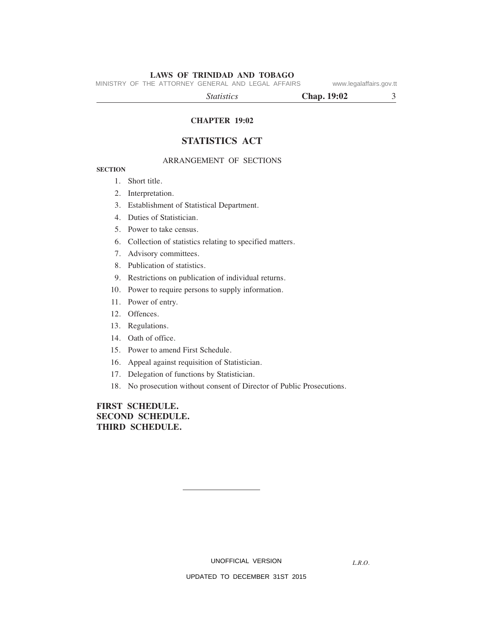MINISTRY OF THE ATTORNEY GENERAL AND LEGAL AFFAIRS www.legalaffairs.gov.tt

 *Statistics* **Chap. 19:02** 3

# **CHAPTER 19:02**

# **STATISTICS ACT**

### ARRANGEMENT OF SECTIONS

#### **SECTION**

- 1. Short title.
- 2. Interpretation.
- 3. Establishment of Statistical Department.
- 4. Duties of Statistician.
- 5. Power to take census.
- 6. Collection of statistics relating to specified matters.
- 7. Advisory committees.
- 8. Publication of statistics.
- 9. Restrictions on publication of individual returns.
- 10. Power to require persons to supply information.
- 11. Power of entry.
- 12. Offences.
- 13. Regulations.
- 14. Oath of office.
- 15. Power to amend First Schedule.
- 16. Appeal against requisition of Statistician.
- 17. Delegation of functions by Statistician.
- 18. No prosecution without consent of Director of Public Prosecutions.

# **FIRST SCHEDULE. SECOND SCHEDULE. THIRD SCHEDULE.**

UNOFFICIAL VERSION

*L.R.O.*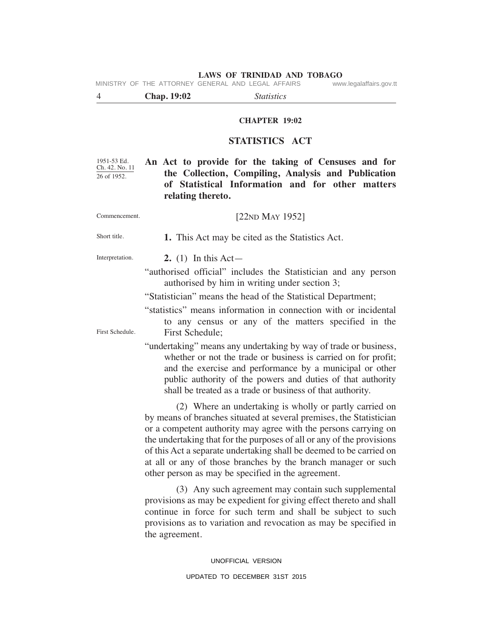MINISTRY OF THE ATTORNEY GENERAL AND LEGAL AFFAIRS www.legalaffairs.gov.tt

4 **Chap. 19:02** *Statistics*

### **CHAPTER 19:02**

# **STATISTICS ACT**

1951-53 Ed. Ch. 42. No. 11 26 of 1952.

**An Act to provide for the taking of Censuses and for the Collection, Compiling, Analysis and Publication of Statistical Information and for other matters relating thereto.**

Short title.

Commencement.

 **1.** This Act may be cited as the Statistics Act.

Interpretation.

First Schedule.

**2.** (1)In this Act—

"authorised official" includes the Statistician and any person authorised by him in writing under section 3;

"Statistician" means the head of the Statistical Department;

"statistics" means information in connection with or incidental to any census or any of the matters specified in the First Schedule;

"undertaking" means any undertaking by way of trade or business, whether or not the trade or business is carried on for profit; and the exercise and performance by a municipal or other public authority of the powers and duties of that authority shall be treated as a trade or business of that authority.

 (2) Where an undertaking is wholly or partly carried on by means of branches situated at several premises, the Statistician or a competent authority may agree with the persons carrying on the undertaking that for the purposes of all or any of the provisions of this Act a separate undertaking shall be deemed to be carried on at all or any of those branches by the branch manager or such other person as may be specified in the agreement.

 (3) Any such agreement may contain such supplemental provisions as may be expedient for giving effect thereto and shall continue in force for such term and shall be subject to such provisions as to variation and revocation as may be specified in the agreement.

> UNOFFICIAL VERSION UPDATED TO DECEMBER 31ST 2015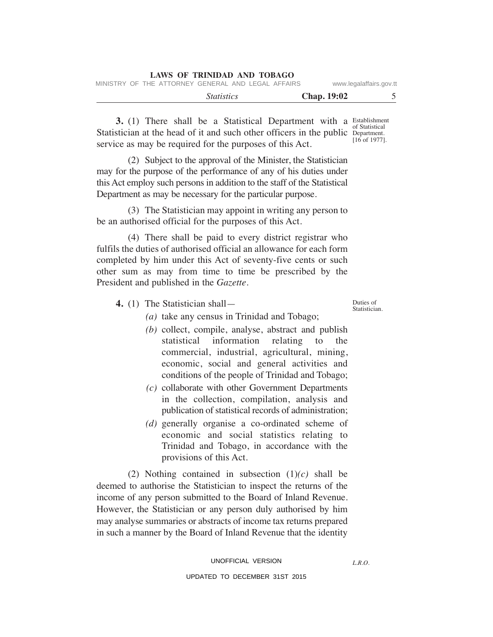|  |                                                    | <i>Statistics</i> |  |  | <b>Chap.</b> 19:02 |                         |
|--|----------------------------------------------------|-------------------|--|--|--------------------|-------------------------|
|  | MINISTRY OF THE ATTORNEY GENERAL AND LEGAL AFFAIRS |                   |  |  |                    | www.legalaffairs.gov.tt |

**3.** (1) There shall be a Statistical Department with a Establishment Statistician at the head of it and such other officers in the public Department. service as may be required for the purposes of this Act. of Statistical [16 of 1977].

 (2) Subject to the approval of the Minister, the Statistician may for the purpose of the performance of any of his duties under this Act employ such persons in addition to the staff of the Statistical Department as may be necessary for the particular purpose.

**LAWS OF TRINIDAD AND TOBAGO**

 (3) The Statistician may appoint in writing any person to be an authorised official for the purposes of this Act.

 (4) There shall be paid to every district registrar who fulfils the duties of authorised official an allowance for each form completed by him under this Act of seventy-five cents or such other sum as may from time to time be prescribed by the President and published in the *Gazette*.

**4.** (1)The Statistician shall—

Duties of Statistician.

- *(a)* take any census in Trinidad and Tobago; *(b)* collect, compile, analyse, abstract and publish
	- statistical information relating to the commercial, industrial, agricultural, mining, economic, social and general activities and conditions of the people of Trinidad and Tobago;
- *(c)* collaborate with other Government Departments in the collection, compilation, analysis and publication of statistical records of administration;
- *(d)* generally organise a co-ordinated scheme of economic and social statistics relating to Trinidad and Tobago, in accordance with the provisions of this Act.

 (2) Nothing contained in subsection (1)*(c)* shall be deemed to authorise the Statistician to inspect the returns of the income of any person submitted to the Board of Inland Revenue. However, the Statistician or any person duly authorised by him may analyse summaries or abstracts of income tax returns prepared in such a manner by the Board of Inland Revenue that the identity

*L.R.O.*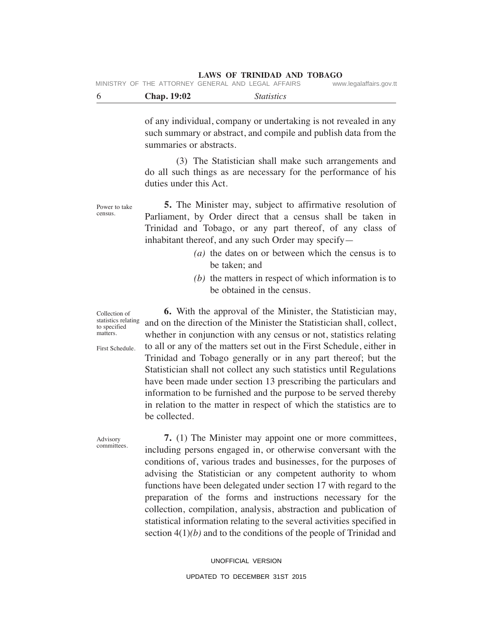|  | MINISTRY OF THE ATTORNEY GENERAL AND LEGAL AFFAIRS |  | www.legalaffairs.gov.tt |
|--|----------------------------------------------------|--|-------------------------|
|  |                                                    |  |                         |

| <b>Chap.</b> 19:02<br><i>Statistics</i> |  |
|-----------------------------------------|--|
|-----------------------------------------|--|

of any individual, company or undertaking is not revealed in any such summary or abstract, and compile and publish data from the summaries or abstracts.

 (3) The Statistician shall make such arrangements and do all such things as are necessary for the performance of his duties under this Act.

Power to take **5.** The Minister may, subject to affirmative resolution of Parliament, by Order direct that a census shall be taken in Trinidad and Tobago, or any part thereof, of any class of inhabitant thereof, and any such Order may specify—

- *(a)* the dates on or between which the census is to be taken; and
- *(b)* the matters in respect of which information is to be obtained in the census.

Collection of statistics relating to specified matters.

census.

First Schedule.

 **6.** With the approval of the Minister, the Statistician may, and on the direction of the Minister the Statistician shall, collect, whether in conjunction with any census or not, statistics relating to all or any of the matters set out in the First Schedule, either in Trinidad and Tobago generally or in any part thereof; but the Statistician shall not collect any such statistics until Regulations have been made under section 13 prescribing the particulars and information to be furnished and the purpose to be served thereby in relation to the matter in respect of which the statistics are to be collected.

Advisory committees.

 **7.** (1) The Minister may appoint one or more committees, including persons engaged in, or otherwise conversant with the conditions of, various trades and businesses, for the purposes of advising the Statistician or any competent authority to whom functions have been delegated under section 17 with regard to the preparation of the forms and instructions necessary for the collection, compilation, analysis, abstraction and publication of statistical information relating to the several activities specified in section 4(1)*(b)* and to the conditions of the people of Trinidad and

> UNOFFICIAL VERSION UPDATED TO DECEMBER 31ST 2015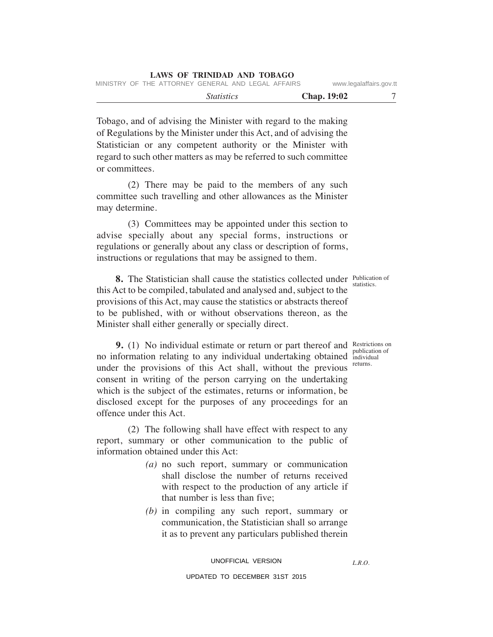|  | LAWS OF TRINIDAD AND TOBAGO |  |  |
|--|-----------------------------|--|--|
|  |                             |  |  |

| MINISTRY OF THE ATTORNEY GENERAL AND LEGAL AFFAIRS |  |  | www.legalaffairs.gov.tt |
|----------------------------------------------------|--|--|-------------------------|
|                                                    |  |  |                         |

Tobago, and of advising the Minister with regard to the making of Regulations by the Minister under this Act, and of advising the Statistician or any competent authority or the Minister with regard to such other matters as may be referred to such committee or committees.

 (2) There may be paid to the members of any such committee such travelling and other allowances as the Minister may determine.

 (3) Committees may be appointed under this section to advise specially about any special forms, instructions or regulations or generally about any class or description of forms, instructions or regulations that may be assigned to them.

statistics.

**8.** The Statistician shall cause the statistics collected under Publication of this Act to be compiled, tabulated and analysed and, subject to the provisions of this Act, may cause the statistics or abstracts thereof to be published, with or without observations thereon, as the Minister shall either generally or specially direct.

**9.** (1) No individual estimate or return or part thereof and Restrictions on publication of no information relating to any individual undertaking obtained individual returns. under the provisions of this Act shall, without the previous consent in writing of the person carrying on the undertaking which is the subject of the estimates, returns or information, be disclosed except for the purposes of any proceedings for an offence under this Act.

 (2) The following shall have effect with respect to any report, summary or other communication to the public of information obtained under this Act:

- *(a)* no such report, summary or communication shall disclose the number of returns received with respect to the production of any article if that number is less than five;
- *(b)* in compiling any such report, summary or communication, the Statistician shall so arrange it as to prevent any particulars published therein

*L.R.O.* 

 *Statistics* **Chap. 19:02** 7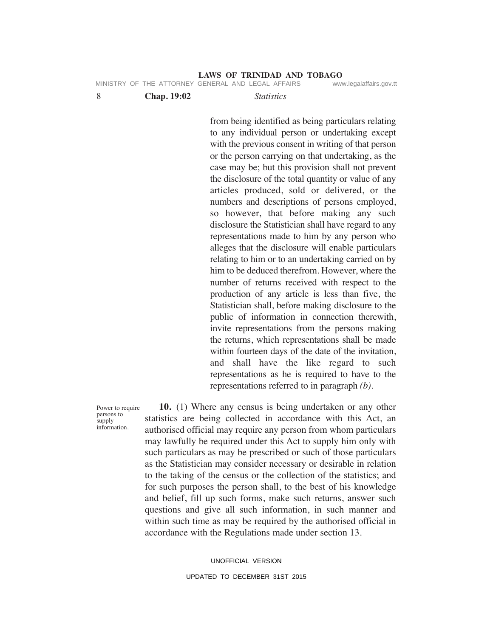#### **LAWS OF TRINIDAD AND TOBAGO** MINISTRY OF THE ATTORNEY

|  |  | IVIIINIOINI UFIIIL AITUNNEI ULNENAL AND LEUAL AFFAINO | www.icudidiidiib.uuv.ll |
|--|--|-------------------------------------------------------|-------------------------|
|  |  |                                                       |                         |

| <b>Chap. 19:02</b> | <i>Statistics</i> |  |
|--------------------|-------------------|--|
|                    |                   |  |

from being identified as being particulars relating to any individual person or undertaking except with the previous consent in writing of that person or the person carrying on that undertaking, as the case may be; but this provision shall not prevent the disclosure of the total quantity or value of any articles produced, sold or delivered, or the numbers and descriptions of persons employed, so however, that before making any such disclosure the Statistician shall have regard to any representations made to him by any person who alleges that the disclosure will enable particulars relating to him or to an undertaking carried on by him to be deduced therefrom. However, where the number of returns received with respect to the production of any article is less than five, the Statistician shall, before making disclosure to the public of information in connection therewith, invite representations from the persons making the returns, which representations shall be made within fourteen days of the date of the invitation, and shall have the like regard to such representations as he is required to have to the representations referred to in paragraph *(b)*.

Power to require persons to supply information.

 **10.** (1) Where any census is being undertaken or any other statistics are being collected in accordance with this Act, an authorised official may require any person from whom particulars may lawfully be required under this Act to supply him only with such particulars as may be prescribed or such of those particulars as the Statistician may consider necessary or desirable in relation to the taking of the census or the collection of the statistics; and for such purposes the person shall, to the best of his knowledge and belief, fill up such forms, make such returns, answer such questions and give all such information, in such manner and within such time as may be required by the authorised official in accordance with the Regulations made under section 13.

> UNOFFICIAL VERSION UPDATED TO DECEMBER 31ST 2015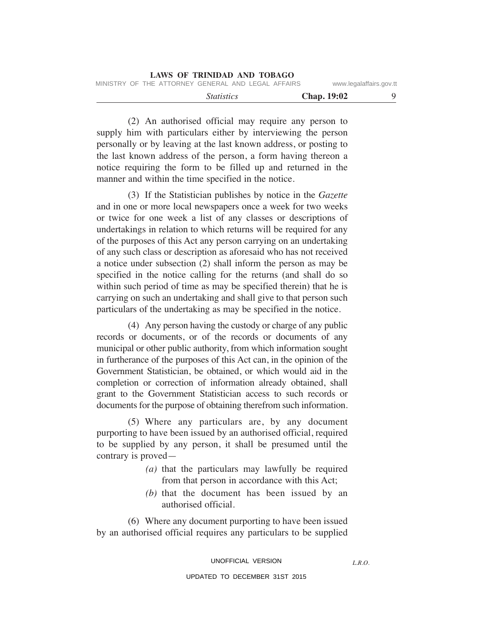|                                                    |                   | <b>LAWS OF TRINIDAD AND TOBAGO</b> |                         |  |
|----------------------------------------------------|-------------------|------------------------------------|-------------------------|--|
| MINISTRY OF THE ATTORNEY GENERAL AND LEGAL AFFAIRS |                   |                                    | www.legalaffairs.gov.tt |  |
|                                                    | <i>Statistics</i> |                                    | <b>Chap.</b> 19:02      |  |

 (2) An authorised official may require any person to supply him with particulars either by interviewing the person personally or by leaving at the last known address, or posting to the last known address of the person, a form having thereon a notice requiring the form to be filled up and returned in the manner and within the time specified in the notice.

 (3) If the Statistician publishes by notice in the *Gazette* and in one or more local newspapers once a week for two weeks or twice for one week a list of any classes or descriptions of undertakings in relation to which returns will be required for any of the purposes of this Act any person carrying on an undertaking of any such class or description as aforesaid who has not received a notice under subsection (2) shall inform the person as may be specified in the notice calling for the returns (and shall do so within such period of time as may be specified therein) that he is carrying on such an undertaking and shall give to that person such particulars of the undertaking as may be specified in the notice.

 (4) Any person having the custody or charge of any public records or documents, or of the records or documents of any municipal or other public authority, from which information sought in furtherance of the purposes of this Act can, in the opinion of the Government Statistician, be obtained, or which would aid in the completion or correction of information already obtained, shall grant to the Government Statistician access to such records or documents for the purpose of obtaining therefrom such information.

 (5) Where any particulars are, by any document purporting to have been issued by an authorised official, required to be supplied by any person, it shall be presumed until the contrary is proved—

- *(a)* that the particulars may lawfully be required from that person in accordance with this Act;
- *(b)* that the document has been issued by an authorised official.

 (6) Where any document purporting to have been issued by an authorised official requires any particulars to be supplied

UNOFFICIAL VERSION

UPDATED TO DECEMBER 31ST 2015

*L.R.O.*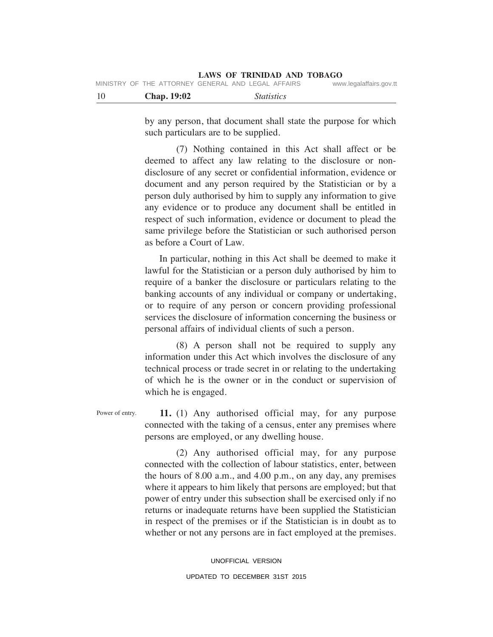| - 10 | <b>Chap.</b> 19:02 | <i>Statistics</i>                                  |                         |
|------|--------------------|----------------------------------------------------|-------------------------|
|      |                    | MINISTRY OF THE ATTORNEY GENERAL AND LEGAL AFFAIRS | www.legalaffairs.gov.tt |

by any person, that document shall state the purpose for which such particulars are to be supplied.

 (7) Nothing contained in this Act shall affect or be deemed to affect any law relating to the disclosure or nondisclosure of any secret or confidential information, evidence or document and any person required by the Statistician or by a person duly authorised by him to supply any information to give any evidence or to produce any document shall be entitled in respect of such information, evidence or document to plead the same privilege before the Statistician or such authorised person as before a Court of Law.

 In particular, nothing in this Act shall be deemed to make it lawful for the Statistician or a person duly authorised by him to require of a banker the disclosure or particulars relating to the banking accounts of any individual or company or undertaking, or to require of any person or concern providing professional services the disclosure of information concerning the business or personal affairs of individual clients of such a person.

 (8) A person shall not be required to supply any information under this Act which involves the disclosure of any technical process or trade secret in or relating to the undertaking of which he is the owner or in the conduct or supervision of which he is engaged.

Power of entry.

 **11.** (1) Any authorised official may, for any purpose connected with the taking of a census, enter any premises where persons are employed, or any dwelling house.

 (2) Any authorised official may, for any purpose connected with the collection of labour statistics, enter, between the hours of 8.00 a.m., and 4.00 p.m., on any day, any premises where it appears to him likely that persons are employed; but that power of entry under this subsection shall be exercised only if no returns or inadequate returns have been supplied the Statistician in respect of the premises or if the Statistician is in doubt as to whether or not any persons are in fact employed at the premises.

> UNOFFICIAL VERSION UPDATED TO DECEMBER 31ST 2015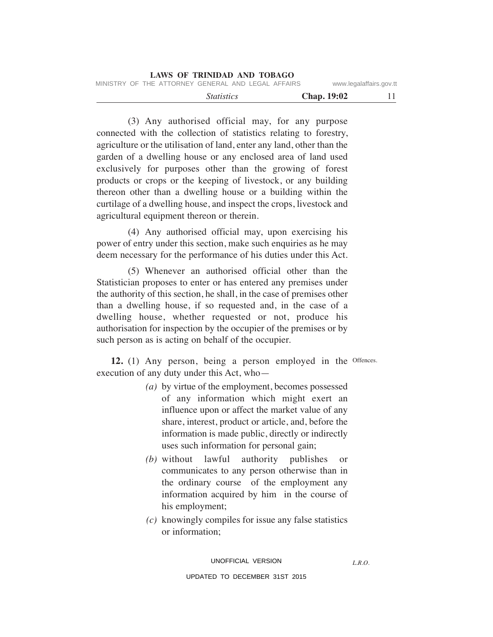| LAWS OF TRINIDAD AND TOBAGO                        |                         |
|----------------------------------------------------|-------------------------|
| MINISTRY OF THE ATTORNEY GENERAL AND LEGAL AFFAIRS | www.legalaffairs.gov.tt |
| <i>Statistics</i>                                  | <b>Chap.</b> 19:02      |

 (3) Any authorised official may, for any purpose connected with the collection of statistics relating to forestry, agriculture or the utilisation of land, enter any land, other than the garden of a dwelling house or any enclosed area of land used exclusively for purposes other than the growing of forest products or crops or the keeping of livestock, or any building thereon other than a dwelling house or a building within the curtilage of a dwelling house, and inspect the crops, livestock and agricultural equipment thereon or therein.

 (4) Any authorised official may, upon exercising his power of entry under this section, make such enquiries as he may deem necessary for the performance of his duties under this Act.

 (5) Whenever an authorised official other than the Statistician proposes to enter or has entered any premises under the authority of this section, he shall, in the case of premises other than a dwelling house, if so requested and, in the case of a dwelling house, whether requested or not, produce his authorisation for inspection by the occupier of the premises or by such person as is acting on behalf of the occupier.

12. (1) Any person, being a person employed in the Offences. execution of any duty under this Act, who—

- *(a)* by virtue of the employment, becomes possessed of any information which might exert an influence upon or affect the market value of any share, interest, product or article, and, before the information is made public, directly or indirectly uses such information for personal gain;
- *(b)* without lawful authority publishes or communicates to any person otherwise than in the ordinary course of the employment any information acquired by him in the course of his employment;
- *(c)* knowingly compiles for issue any false statistics or information;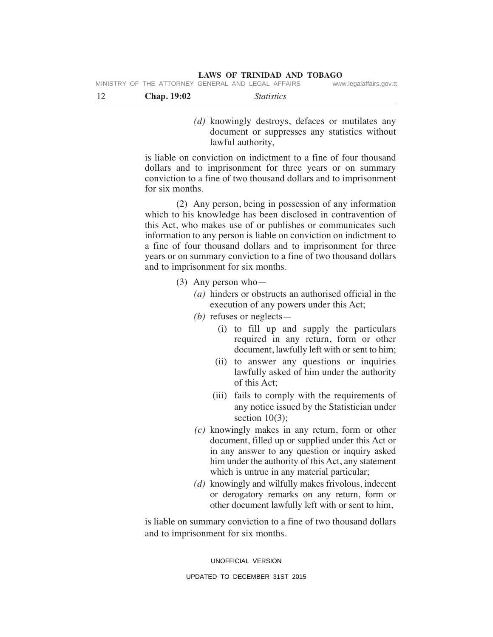MINISTRY OF THE ATTORNEY GENERAL AND LEGAL AFFAIRS

| <b>Chap.</b> 19:02 | <i>Statistics</i> |
|--------------------|-------------------|
|--------------------|-------------------|

 *(d)* knowingly destroys, defaces or mutilates any document or suppresses any statistics without lawful authority,

is liable on conviction on indictment to a fine of four thousand dollars and to imprisonment for three years or on summary conviction to a fine of two thousand dollars and to imprisonment for six months.

 (2) Any person, being in possession of any information which to his knowledge has been disclosed in contravention of this Act, who makes use of or publishes or communicates such information to any person is liable on conviction on indictment to a fine of four thousand dollars and to imprisonment for three years or on summary conviction to a fine of two thousand dollars and to imprisonment for six months.

- (3) Any person who—
	- *(a)* hinders or obstructs an authorised official in the execution of any powers under this Act;
	- *(b)* refuses or neglects—
		- (i) to fill up and supply the particulars required in any return, form or other document, lawfully left with or sent to him;
		- (ii) to answer any questions or inquiries lawfully asked of him under the authority of this Act;
		- (iii) fails to comply with the requirements of any notice issued by the Statistician under section  $10(3)$ :
	- *(c)* knowingly makes in any return, form or other document, filled up or supplied under this Act or in any answer to any question or inquiry asked him under the authority of this Act, any statement which is untrue in any material particular;
	- *(d)* knowingly and wilfully makes frivolous, indecent or derogatory remarks on any return, form or other document lawfully left with or sent to him,

is liable on summary conviction to a fine of two thousand dollars and to imprisonment for six months.

UNOFFICIAL VERSION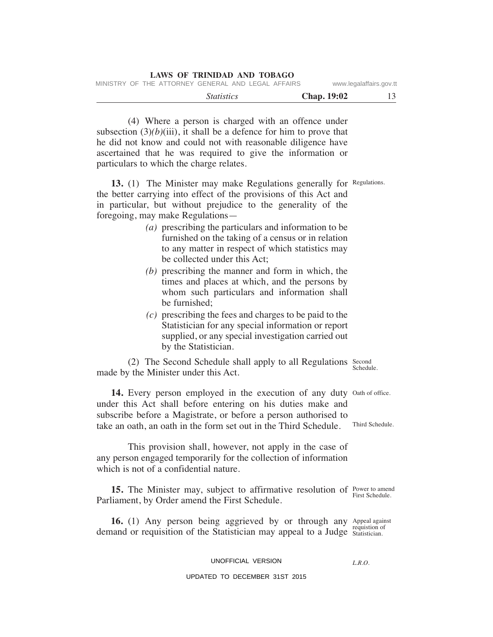| <b>LAWS OF TRINIDAD AND TOBAGO</b>                 |                          |
|----------------------------------------------------|--------------------------|
| MINISTRY OF THE ATTORNEY GENERAL AND LEGAL AFFAIRS | www.legalaffairs.gov.tt  |
| <i>Statistics</i>                                  | 13<br><b>Chap.</b> 19:02 |

 (4) Where a person is charged with an offence under subsection  $(3)(b)(iii)$ , it shall be a defence for him to prove that he did not know and could not with reasonable diligence have ascertained that he was required to give the information or particulars to which the charge relates.

13. (1) The Minister may make Regulations generally for Regulations. the better carrying into effect of the provisions of this Act and in particular, but without prejudice to the generality of the foregoing, may make Regulations—

- *(a)* prescribing the particulars and information to be furnished on the taking of a census or in relation to any matter in respect of which statistics may be collected under this Act;
- *(b)* prescribing the manner and form in which, the times and places at which, and the persons by whom such particulars and information shall be furnished;
- *(c)* prescribing the fees and charges to be paid to the Statistician for any special information or report supplied, or any special investigation carried out by the Statistician.

(2) The Second Schedule shall apply to all Regulations Second made by the Minister under this Act. Schedule.

14. Every person employed in the execution of any duty Oath of office. under this Act shall before entering on his duties make and subscribe before a Magistrate, or before a person authorised to take an oath, an oath in the form set out in the Third Schedule.

 This provision shall, however, not apply in the case of any person engaged temporarily for the collection of information which is not of a confidential nature.

**15.** The Minister may, subject to affirmative resolution of Power to amend Parliament, by Order amend the First Schedule.

16. (1) Any person being aggrieved by or through any Appeal against demand or requisition of the Statistician may appeal to a Judge Statistician.

#### UNOFFICIAL VERSION

#### UPDATED TO DECEMBER 31ST 2015

Third Schedule.

First Schedule.

*L.R.O.*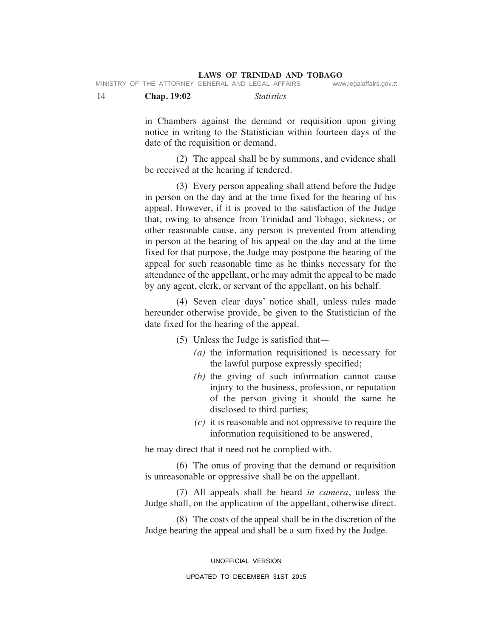| -14 | <b>Chap.</b> 19:02 | <i>Statistics</i>                                  |                         |
|-----|--------------------|----------------------------------------------------|-------------------------|
|     |                    | MINISTRY OF THE ATTORNEY GENERAL AND LEGAL AFFAIRS | www.legalaffairs.gov.tt |

in Chambers against the demand or requisition upon giving notice in writing to the Statistician within fourteen days of the date of the requisition or demand.

 (2) The appeal shall be by summons, and evidence shall be received at the hearing if tendered.

 (3) Every person appealing shall attend before the Judge in person on the day and at the time fixed for the hearing of his appeal. However, if it is proved to the satisfaction of the Judge that, owing to absence from Trinidad and Tobago, sickness, or other reasonable cause, any person is prevented from attending in person at the hearing of his appeal on the day and at the time fixed for that purpose, the Judge may postpone the hearing of the appeal for such reasonable time as he thinks necessary for the attendance of the appellant, or he may admit the appeal to be made by any agent, clerk, or servant of the appellant, on his behalf.

 (4) Seven clear days' notice shall, unless rules made hereunder otherwise provide, be given to the Statistician of the date fixed for the hearing of the appeal.

- (5) Unless the Judge is satisfied that—
	- *(a)* the information requisitioned is necessary for the lawful purpose expressly specified;
	- *(b)* the giving of such information cannot cause injury to the business, profession, or reputation of the person giving it should the same be disclosed to third parties;
	- *(c)* it is reasonable and not oppressive to require the information requisitioned to be answered,

he may direct that it need not be complied with.

 (6) The onus of proving that the demand or requisition is unreasonable or oppressive shall be on the appellant.

 (7) All appeals shall be heard *in camera*, unless the Judge shall, on the application of the appellant, otherwise direct.

 (8) The costs of the appeal shall be in the discretion of the Judge hearing the appeal and shall be a sum fixed by the Judge.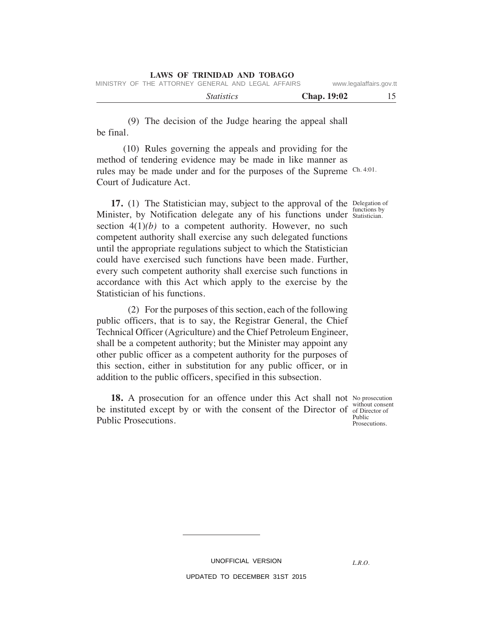|  | LAWS OF TRINIDAD AND TOBAGO                        |  |                     |
|--|----------------------------------------------------|--|---------------------|
|  | MINICTOV OF THE ATTODMEV OFNEDAL AND LEOAL AFFAIDO |  | منصلكه صلصصا بتمنين |

| MINISTRY OF THE ATTORNEY GENERAL AND LEGAL AFFAIRS |                   | www.legalaffairs.gov.tt |  |
|----------------------------------------------------|-------------------|-------------------------|--|
|                                                    | <i>Statistics</i> | Chap. 19:02             |  |

 (9) The decision of the Judge hearing the appeal shall be final.

 (10) Rules governing the appeals and providing for the method of tendering evidence may be made in like manner as rules may be made under and for the purposes of the Supreme Ch. 4:01. Court of Judicature Act.

**17.** (1) The Statistician may, subject to the approval of the Delegation of Minister, by Notification delegate any of his functions under Statistician. section  $4(1)(b)$  to a competent authority. However, no such competent authority shall exercise any such delegated functions until the appropriate regulations subject to which the Statistician could have exercised such functions have been made. Further, every such competent authority shall exercise such functions in accordance with this Act which apply to the exercise by the Statistician of his functions.

 (2) For the purposes of this section, each of the following public officers, that is to say, the Registrar General, the Chief Technical Officer (Agriculture) and the Chief Petroleum Engineer, shall be a competent authority; but the Minister may appoint any other public officer as a competent authority for the purposes of this section, either in substitution for any public officer, or in addition to the public officers, specified in this subsection.

18. A prosecution for an offence under this Act shall not No prosecution be instituted except by or with the consent of the Director of without consent Public Prosecutions.

Statistician.

of Director of Public Prosecutions.

*L.R.O.* 

UNOFFICIAL VERSION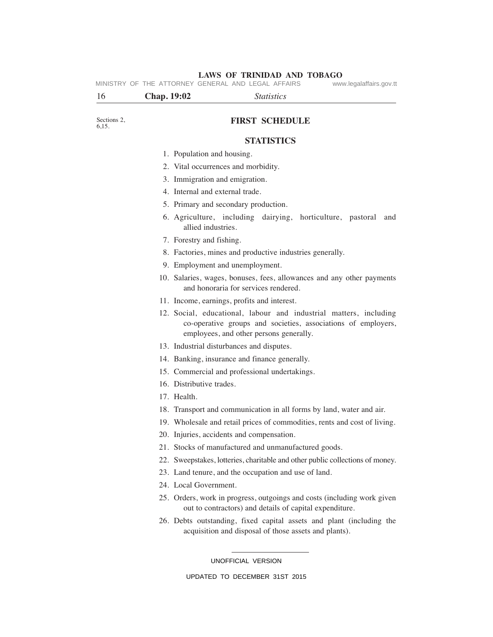# Sections 2 6,15. **FIRST SCHEDULE STATISTICS** 1. Population and housing. 2. Vital occurrences and morbidity. 3. Immigration and emigration. 4. Internal and external trade. 5. Primary and secondary production. 6. Agriculture, including dairying, horticulture, pastoral and allied industries. 7. Forestry and fishing. 8. Factories, mines and productive industries generally. 9. Employment and unemployment. 10. Salaries, wages, bonuses, fees, allowances and any other payments and honoraria for services rendered. 11. Income, earnings, profits and interest. 12. Social, educational, labour and industrial matters, including co-operative groups and societies, associations of employers, employees, and other persons generally. 13. Industrial disturbances and disputes. 14. Banking, insurance and finance generally. 15. Commercial and professional undertakings. 16. Distributive trades. 17. Health. 18. Transport and communication in all forms by land, water and air. 19. Wholesale and retail prices of commodities, rents and cost of living. 20. Injuries, accidents and compensation. 21. Stocks of manufactured and unmanufactured goods. 22. Sweepstakes, lotteries, charitable and other public collections of money. 23. Land tenure, and the occupation and use of land. 24. Local Government. 16 **Chap. 19:02** *Statistics* **LAWS OF TRINIDAD AND TOBAGO** MINISTRY OF THE ATTORNEY GENERAL AND LEGAL AFFAIRS

- 25. Orders, work in progress, outgoings and costs (including work given out to contractors) and details of capital expenditure.
- 26. Debts outstanding, fixed capital assets and plant (including the acquisition and disposal of those assets and plants).

UNOFFICIAL VERSION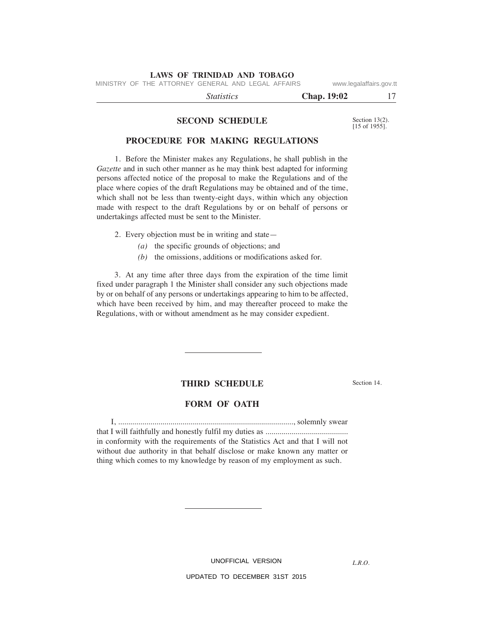MINISTRY OF THE ATTORNEY GENERAL AND LEGAL AFFAIRS www.legalaffairs.gov.tt

 *Statistics* **Chap. 19:02** 17

#### **SECOND SCHEDULE**

Section 13(2). [15 of 1955].

# **PROCEDURE FOR MAKING REGULATIONS**

 1. Before the Minister makes any Regulations, he shall publish in the *Gazette* and in such other manner as he may think best adapted for informing persons affected notice of the proposal to make the Regulations and of the place where copies of the draft Regulations may be obtained and of the time, which shall not be less than twenty-eight days, within which any objection made with respect to the draft Regulations by or on behalf of persons or undertakings affected must be sent to the Minister.

2. Every objection must be in writing and state—

- *(a)* the specific grounds of objections; and
- *(b)* the omissions, additions or modifications asked for.

 3. At any time after three days from the expiration of the time limit fixed under paragraph 1 the Minister shall consider any such objections made by or on behalf of any persons or undertakings appearing to him to be affected, which have been received by him, and may thereafter proceed to make the Regulations, with or without amendment as he may consider expedient.

#### **THIRD SCHEDULE**

Section 14.

#### **FORM OF OATH**

 I, ......................................................................................., solemnly swear that I will faithfully and honestly fulfil my duties as ......................................... in conformity with the requirements of the Statistics Act and that I will not without due authority in that behalf disclose or make known any matter or thing which comes to my knowledge by reason of my employment as such.

UNOFFICIAL VERSION

*L.R.O.*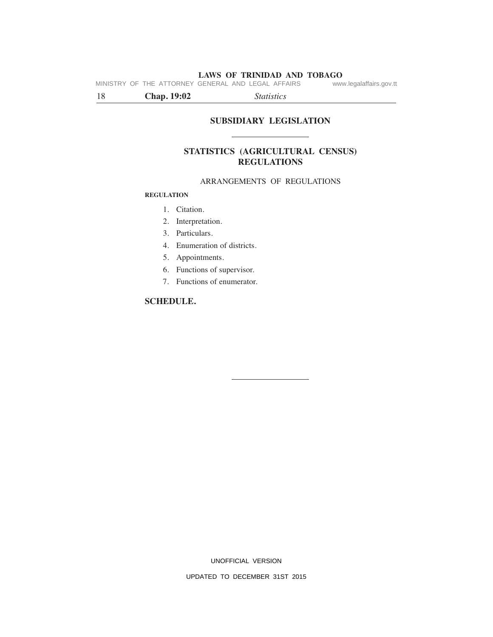**LAWS OF TRINIDAD AND TOBAGO**<br>GENERAL AND LEGAL AFFAIRS www.legalaffairs.gov.tt MINISTRY OF THE ATTORNEY GENERAL AND LEGAL AFFAIRS

18 **Chap. 19:02** *Statistics*

# **SUBSIDIARY LEGISLATION**

# **STATISTICS (AGRICULTURAL CENSUS) REGULATIONS**

# ARRANGEMENTS OF REGULATIONS

#### **REGULATION**

- 1. Citation.
- 2. Interpretation.
- 3. Particulars.
- 4. Enumeration of districts.
- 5. Appointments.
- 6. Functions of supervisor.
- 7. Functions of enumerator.

# **SCHEDULE.**

UNOFFICIAL VERSION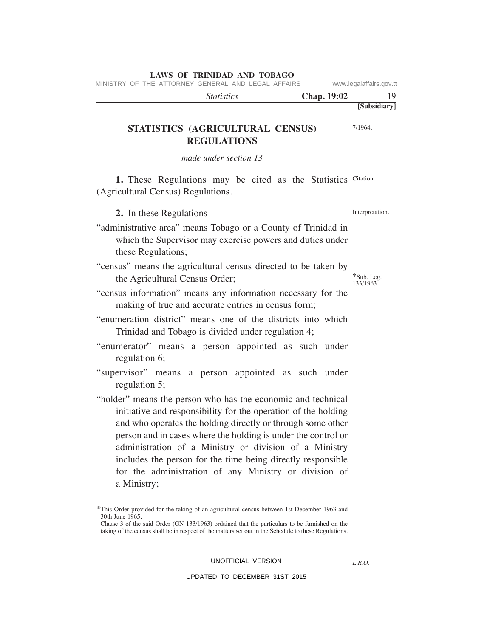MINISTRY OF THE ATTORNEY GENERAL AND LEGAL AFFAIRS www.legalaffairs.gov.tt

| <i>Statistics</i> | <b>Chap. 19:02</b> |              |
|-------------------|--------------------|--------------|
|                   |                    | [Subsidiary] |

# **STATISTICS (AGRICULTURAL CENSUS) REGULATIONS**

*made under section 13*

1. These Regulations may be cited as the Statistics Citation. (Agricultural Census) Regulations.

**2.** In these Regulations—

- "administrative area" means Tobago or a County of Trinidad in which the Supervisor may exercise powers and duties under these Regulations;
- "census" means the agricultural census directed to be taken by the Agricultural Census Order;
- "census information" means any information necessary for the making of true and accurate entries in census form;
- "enumeration district" means one of the districts into which Trinidad and Tobago is divided under regulation 4;
- "enumerator" means a person appointed as such under regulation 6;
- "supervisor" means a person appointed as such under regulation 5;
- "holder" means the person who has the economic and technical initiative and responsibility for the operation of the holding and who operates the holding directly or through some other person and in cases where the holding is under the control or administration of a Ministry or division of a Ministry includes the person for the time being directly responsible for the administration of any Ministry or division of a Ministry;

UNOFFICIAL VERSION

UPDATED TO DECEMBER 31ST 2015

*L.R.O.* 

\*Sub. Leg. 133/1963.

Interpretation.

7/1964.

<sup>\*</sup>This Order provided for the taking of an agricultural census between 1st December 1963 and 30th June 1965.

Clause 3 of the said Order (GN 133/1963) ordained that the particulars to be furnished on the taking of the census shall be in respect of the matters set out in the Schedule to these Regulations.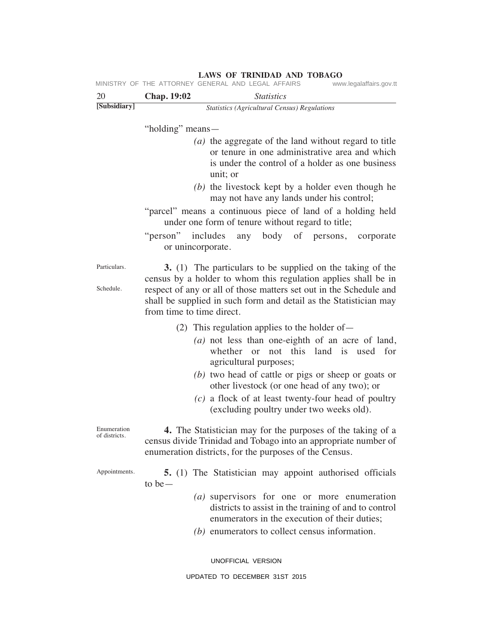|                              |                           | MINISTRY OF THE ATTORNEY GENERAL AND LEGAL AFFAIRS                                                                                                                                       | www.legalaffairs.gov.tt |
|------------------------------|---------------------------|------------------------------------------------------------------------------------------------------------------------------------------------------------------------------------------|-------------------------|
| 20                           | Chap. 19:02               | <b>Statistics</b>                                                                                                                                                                        |                         |
| [Subsidiary]                 |                           | <b>Statistics (Agricultural Census) Regulations</b>                                                                                                                                      |                         |
|                              | "holding" means—          |                                                                                                                                                                                          |                         |
|                              |                           | (a) the aggregate of the land without regard to title<br>or tenure in one administrative area and which<br>is under the control of a holder as one business<br>unit; or                  |                         |
|                              |                           | $(b)$ the livestock kept by a holder even though he<br>may not have any lands under his control;                                                                                         |                         |
|                              |                           | "parcel" means a continuous piece of land of a holding held<br>under one form of tenure without regard to title;                                                                         |                         |
|                              | or unincorporate.         | "person" includes any body of persons, corporate                                                                                                                                         |                         |
| Particulars.                 |                           | 3. (1) The particulars to be supplied on the taking of the<br>census by a holder to whom this regulation applies shall be in                                                             |                         |
| Schedule.                    | from time to time direct. | respect of any or all of those matters set out in the Schedule and<br>shall be supplied in such form and detail as the Statistician may                                                  |                         |
|                              |                           | (2) This regulation applies to the holder of $-$                                                                                                                                         |                         |
|                              |                           | $(a)$ not less than one-eighth of an acre of land,<br>whether or not this land is used for<br>agricultural purposes;                                                                     |                         |
|                              |                           | (b) two head of cattle or pigs or sheep or goats or<br>other livestock (or one head of any two); or                                                                                      |                         |
|                              |                           | $(c)$ a flock of at least twenty-four head of poultry<br>(excluding poultry under two weeks old).                                                                                        |                         |
| Enumeration<br>of districts. |                           | 4. The Statistician may for the purposes of the taking of a<br>census divide Trinidad and Tobago into an appropriate number of<br>enumeration districts, for the purposes of the Census. |                         |
| Appointments.                | to be $-$                 | 5. (1) The Statistician may appoint authorised officials                                                                                                                                 |                         |
|                              |                           | $(a)$ supervisors for one or more enumeration<br>districts to assist in the training of and to control<br>enumerators in the execution of their duties;                                  |                         |

*(b)* enumerators to collect census information.

UNOFFICIAL VERSION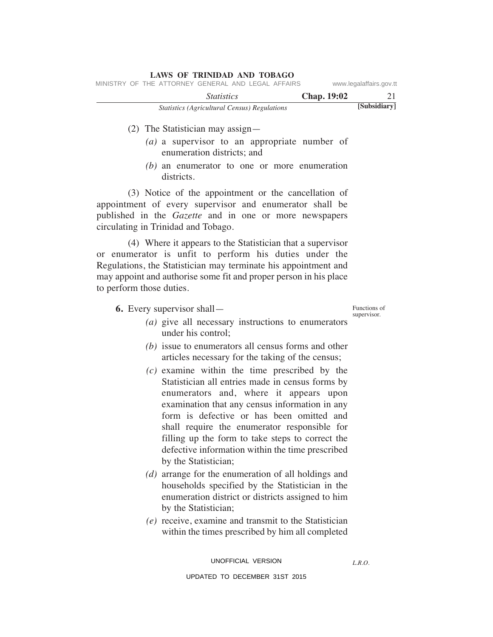|  | <b>LAWS OF TRINIDAD AND TOBAGO</b>                 |                   |                                                     |  |                    |                         |
|--|----------------------------------------------------|-------------------|-----------------------------------------------------|--|--------------------|-------------------------|
|  | MINISTRY OF THE ATTORNEY GENERAL AND LEGAL AFFAIRS |                   |                                                     |  |                    | www.legalaffairs.gov.tt |
|  |                                                    | <i>Statistics</i> |                                                     |  | <b>Chap.</b> 19:02 | 21                      |
|  |                                                    |                   | <b>Statistics (Agricultural Census) Regulations</b> |  |                    | [Subsidiary]            |

# (2) The Statistician may assign—

- *(a)* a supervisor to an appropriate number of enumeration districts; and
- *(b)* an enumerator to one or more enumeration districts.

 (3) Notice of the appointment or the cancellation of appointment of every supervisor and enumerator shall be published in the *Gazette* and in one or more newspapers circulating in Trinidad and Tobago.

 (4) Where it appears to the Statistician that a supervisor or enumerator is unfit to perform his duties under the Regulations, the Statistician may terminate his appointment and may appoint and authorise some fit and proper person in his place to perform those duties.

 **6.** Every supervisor shall—

Functions of supervisor.

- *(a)* give all necessary instructions to enumerators under his control;
- *(b)* issue to enumerators all census forms and other articles necessary for the taking of the census;
- *(c)* examine within the time prescribed by the Statistician all entries made in census forms by enumerators and, where it appears upon examination that any census information in any form is defective or has been omitted and shall require the enumerator responsible for filling up the form to take steps to correct the defective information within the time prescribed by the Statistician;
- *(d)* arrange for the enumeration of all holdings and households specified by the Statistician in the enumeration district or districts assigned to him by the Statistician;
- *(e)* receive, examine and transmit to the Statistician within the times prescribed by him all completed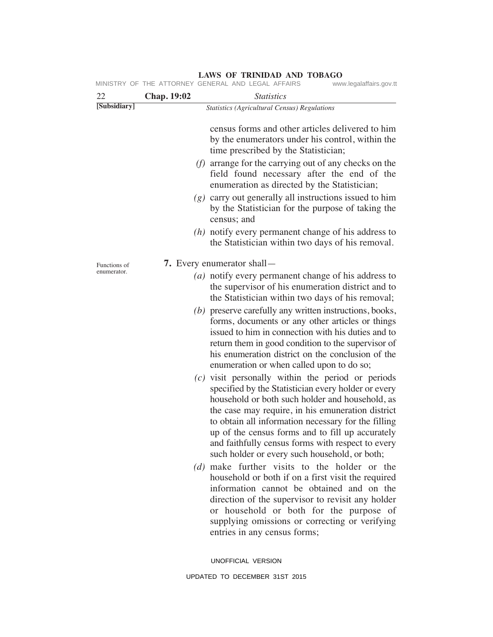|              |             | MINISTRY OF THE ATTORNEY GENERAL AND LEGAL AFFAIRS                                                                                                                                                                                                                                                                                                                                                                                           | www.legalaffairs.gov.tt |
|--------------|-------------|----------------------------------------------------------------------------------------------------------------------------------------------------------------------------------------------------------------------------------------------------------------------------------------------------------------------------------------------------------------------------------------------------------------------------------------------|-------------------------|
| 22           | Chap. 19:02 | <b>Statistics</b>                                                                                                                                                                                                                                                                                                                                                                                                                            |                         |
| [Subsidiary] |             | <b>Statistics (Agricultural Census) Regulations</b>                                                                                                                                                                                                                                                                                                                                                                                          |                         |
|              |             | census forms and other articles delivered to him<br>by the enumerators under his control, within the<br>time prescribed by the Statistician;                                                                                                                                                                                                                                                                                                 |                         |
|              |             | $(f)$ arrange for the carrying out of any checks on the<br>field found necessary after the end of the<br>enumeration as directed by the Statistician;                                                                                                                                                                                                                                                                                        |                         |
|              |             | $(g)$ carry out generally all instructions issued to him<br>by the Statistician for the purpose of taking the<br>census; and                                                                                                                                                                                                                                                                                                                 |                         |
|              |             | $(h)$ notify every permanent change of his address to<br>the Statistician within two days of his removal.                                                                                                                                                                                                                                                                                                                                    |                         |
| Functions of |             | <b>7.</b> Every enumerator shall—                                                                                                                                                                                                                                                                                                                                                                                                            |                         |
| enumerator.  |             | (a) notify every permanent change of his address to<br>the supervisor of his enumeration district and to<br>the Statistician within two days of his removal;<br>(b) preserve carefully any written instructions, books,<br>forms, documents or any other articles or things<br>issued to him in connection with his duties and to<br>return them in good condition to the supervisor of<br>his enumeration district on the conclusion of the |                         |
|              |             | enumeration or when called upon to do so;<br>$(c)$ visit personally within the period or periods<br>specified by the Statistician every holder or every<br>household or both such holder and household, as<br>the case may require, in his emuneration district<br>to obtain all information necessary for the filling<br>up of the census forms and to fill up accurately<br>and faithfully census forms with respect to every              |                         |
|              |             | such holder or every such household, or both;<br>(d) make further visits to the holder or the<br>household or both if on a first visit the required<br>information cannot be obtained and on the<br>direction of the supervisor to revisit any holder<br>or household or both for the purpose of<br>supplying omissions or correcting or verifying<br>entries in any census forms;                                                           |                         |

UNOFFICIAL VERSION UPDATED TO DECEMBER 31ST 2015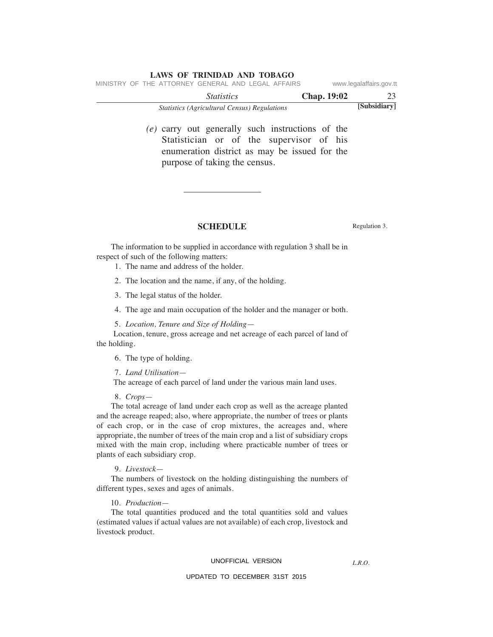|                                                    | <b>Statistics (Agricultural Census) Regulations</b> |                    | [Subsidiary]            |
|----------------------------------------------------|-----------------------------------------------------|--------------------|-------------------------|
|                                                    | <i>Statistics</i>                                   | <b>Chap.</b> 19:02 | 23                      |
| MINISTRY OF THE ATTORNEY GENERAL AND LEGAL AFFAIRS |                                                     |                    | www.legalaffairs.gov.tt |

 *(e)* carry out generally such instructions of the Statistician or of the supervisor of his enumeration district as may be issued for the purpose of taking the census.

#### **SCHEDULE** Regulation 3.

 The information to be supplied in accordance with regulation 3 shall be in respect of such of the following matters:

1. The name and address of the holder.

2. The location and the name, if any, of the holding.

3. The legal status of the holder.

4. The age and main occupation of the holder and the manager or both.

5. *Location, Tenure and Size of Holding*—

 Location, tenure, gross acreage and net acreage of each parcel of land of the holding.

6. The type of holding.

7. *Land Utilisation*—

The acreage of each parcel of land under the various main land uses.

8. *Crops*—

 The total acreage of land under each crop as well as the acreage planted and the acreage reaped; also, where appropriate, the number of trees or plants of each crop, or in the case of crop mixtures, the acreages and, where appropriate, the number of trees of the main crop and a list of subsidiary crops mixed with the main crop, including where practicable number of trees or plants of each subsidiary crop.

9. *Livestock*—

 The numbers of livestock on the holding distinguishing the numbers of different types, sexes and ages of animals.

10*. Production*—

 The total quantities produced and the total quantities sold and values (estimated values if actual values are not available) of each crop, livestock and livestock product.

#### UNOFFICIAL VERSION

*L.R.O.*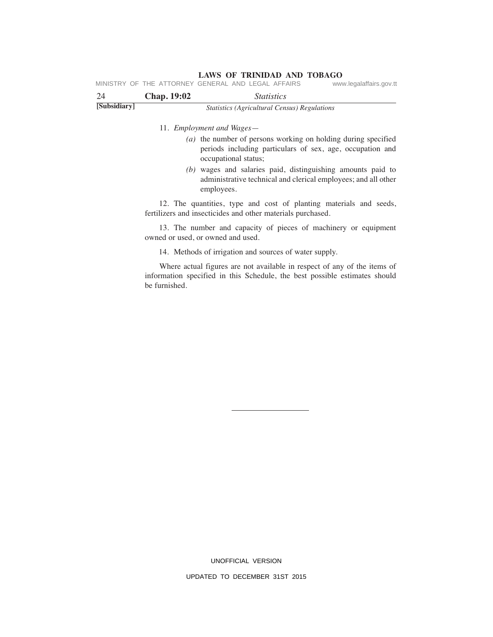**LAWS OF TRINIDAD AND TOBAGO**<br>GENERAL AND LEGAL AFFAIRS www.legalaffairs.gov.tt MINISTRY OF THE ATTORNEY GENERAL AND LEGAL AFFAIRS

| 24           | <b>Chap. 19:02</b> | <i>Statistics</i>                                   |  |
|--------------|--------------------|-----------------------------------------------------|--|
| [Subsidiary] |                    | <i>Statistics (Agricultural Census) Regulations</i> |  |

11*. Employment and Wages*—

- *(a)* the number of persons working on holding during specified periods including particulars of sex, age, occupation and occupational status;
- *(b)* wages and salaries paid, distinguishing amounts paid to administrative technical and clerical employees; and all other employees.

 12. The quantities, type and cost of planting materials and seeds, fertilizers and insecticides and other materials purchased.

 13. The number and capacity of pieces of machinery or equipment owned or used, or owned and used.

14. Methods of irrigation and sources of water supply.

 Where actual figures are not available in respect of any of the items of information specified in this Schedule, the best possible estimates should be furnished.

> UNOFFICIAL VERSION UPDATED TO DECEMBER 31ST 2015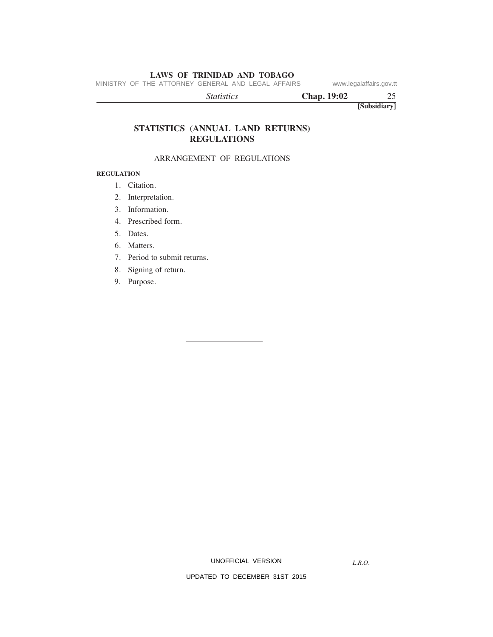MINISTRY OF THE ATTORNEY GENERAL AND LEGAL AFFAIRS www.legalaffairs.gov.tt

**[Subsidiary]**  *Statistics* **Chap. 19:02** 25

# **STATISTICS (ANNUAL LAND RETURNS) REGULATIONS**

#### ARRANGEMENT OF REGULATIONS

# **REGULATION**

- 1. Citation.
- 2. Interpretation.
- 3. Information.
- 4. Prescribed form.
- 5. Dates.
- 6. Matters.
- 7. Period to submit returns.
- 8. Signing of return.
- 9. Purpose.

UNOFFICIAL VERSION

*L.R.O.*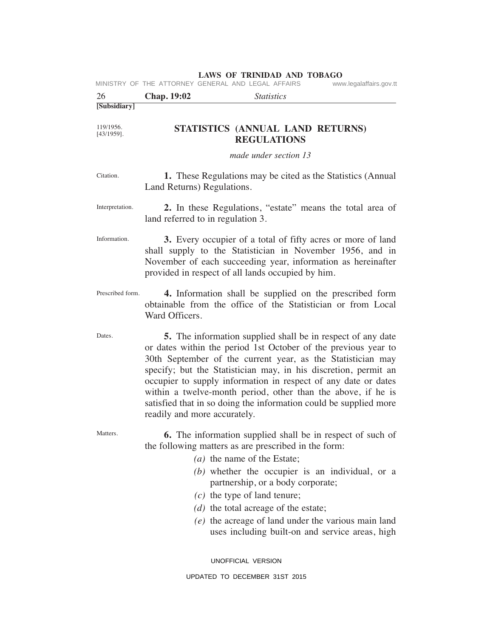|                            |                              | LAWS OF TRINIDAD AND TOBAGO<br>MINISTRY OF THE ATTORNEY GENERAL AND LEGAL AFFAIRS                                                                                                                                                                                                                                                                                                                                                                                             | www.legalaffairs.gov.tt |
|----------------------------|------------------------------|-------------------------------------------------------------------------------------------------------------------------------------------------------------------------------------------------------------------------------------------------------------------------------------------------------------------------------------------------------------------------------------------------------------------------------------------------------------------------------|-------------------------|
| 26                         | <b>Chap. 19:02</b>           | <i>Statistics</i>                                                                                                                                                                                                                                                                                                                                                                                                                                                             |                         |
| [Subsidiary]               |                              |                                                                                                                                                                                                                                                                                                                                                                                                                                                                               |                         |
| 119/1956.<br>$[43/1959]$ . |                              | STATISTICS (ANNUAL LAND RETURNS)<br><b>REGULATIONS</b>                                                                                                                                                                                                                                                                                                                                                                                                                        |                         |
|                            |                              | made under section 13                                                                                                                                                                                                                                                                                                                                                                                                                                                         |                         |
| Citation.                  | Land Returns) Regulations.   | 1. These Regulations may be cited as the Statistics (Annual                                                                                                                                                                                                                                                                                                                                                                                                                   |                         |
| Interpretation.            |                              | 2. In these Regulations, "estate" means the total area of<br>land referred to in regulation 3.                                                                                                                                                                                                                                                                                                                                                                                |                         |
| Information.               |                              | 3. Every occupier of a total of fifty acres or more of land<br>shall supply to the Statistician in November 1956, and in<br>November of each succeeding year, information as hereinafter<br>provided in respect of all lands occupied by him.                                                                                                                                                                                                                                 |                         |
| Prescribed form.           | Ward Officers.               | 4. Information shall be supplied on the prescribed form<br>obtainable from the office of the Statistician or from Local                                                                                                                                                                                                                                                                                                                                                       |                         |
| Dates.                     | readily and more accurately. | <b>5.</b> The information supplied shall be in respect of any date<br>or dates within the period 1st October of the previous year to<br>30th September of the current year, as the Statistician may<br>specify; but the Statistician may, in his discretion, permit an<br>occupier to supply information in respect of any date or dates<br>within a twelve-month period, other than the above, if he is<br>satisfied that in so doing the information could be supplied more |                         |
| Matters.                   |                              | <b>6.</b> The information supplied shall be in respect of such of<br>the following matters as are prescribed in the form:<br>(a) the name of the Estate;<br>$(b)$ whether the occupier is an individual, or a<br>partnership, or a body corporate;<br>$(c)$ the type of land tenure;<br>(d) the total acreage of the estate;<br>(e) the acreage of land under the various main land<br>uses including built-on and service areas, high                                        |                         |

UNOFFICIAL VERSION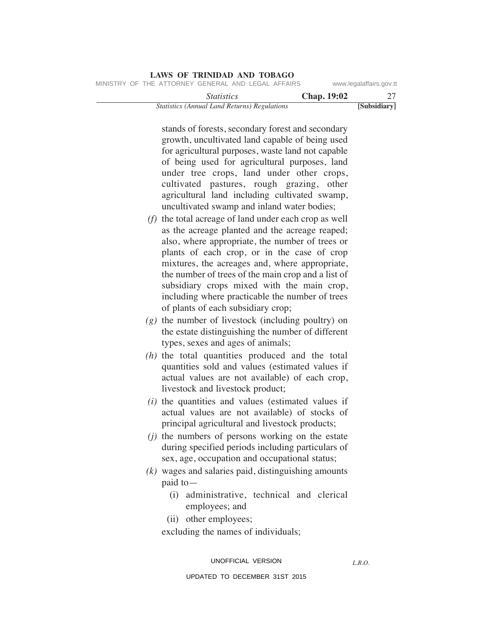|                                                    | LAWS OF INIMIDAD AND TODAGO                         |                    |                         |
|----------------------------------------------------|-----------------------------------------------------|--------------------|-------------------------|
| MINISTRY OF THE ATTORNEY GENERAL AND LEGAL AFFAIRS |                                                     |                    | www.legalaffairs.gov.tt |
|                                                    | <i>Statistics</i>                                   | <b>Chap.</b> 19:02 | 27                      |
|                                                    | <b>Statistics (Annual Land Returns) Regulations</b> |                    | [Subsidiary]            |

stands of forests, secondary forest and secondary growth, uncultivated land capable of being used for agricultural purposes, waste land not capable of being used for agricultural purposes, land under tree crops, land under other crops, cultivated pastures, rough grazing, other agricultural land including cultivated swamp, uncultivated swamp and inland water bodies;

- *(f)* the total acreage of land under each crop as well as the acreage planted and the acreage reaped; also, where appropriate, the number of trees or plants of each crop, or in the case of crop mixtures, the acreages and, where appropriate, the number of trees of the main crop and a list of subsidiary crops mixed with the main crop, including where practicable the number of trees of plants of each subsidiary crop;
- *(g)* the number of livestock (including poultry) on the estate distinguishing the number of different types, sexes and ages of animals;
- *(h)* the total quantities produced and the total quantities sold and values (estimated values if actual values are not available) of each crop, livestock and livestock product;
- *(i)* the quantities and values (estimated values if actual values are not available) of stocks of principal agricultural and livestock products;
- *(j)* the numbers of persons working on the estate during specified periods including particulars of sex, age, occupation and occupational status;
- *(k)* wages and salaries paid, distinguishing amounts paid to—
	- (i) administrative, technical and clerical employees; and
	- (ii) other employees;

excluding the names of individuals;

UNOFFICIAL VERSION

*L.R.O.*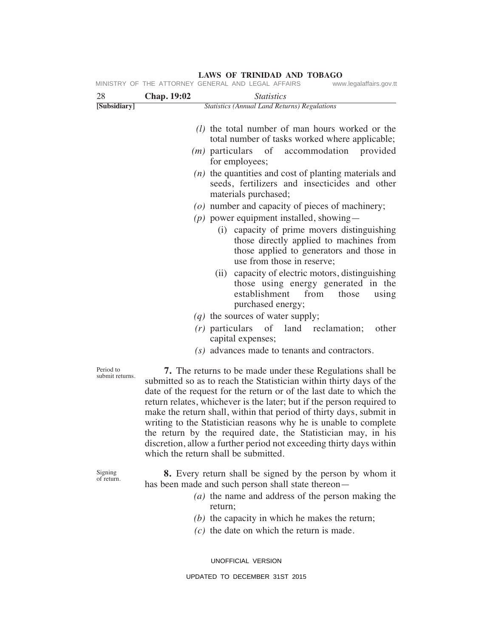|                              | MINISTRY OF THE ATTORNEY GENERAL AND LEGAL AFFAIRS<br>www.legalaffairs.gov.tt                                                                                                                                                                                                                                                                                                                                                                                                                                                                                                                                       |
|------------------------------|---------------------------------------------------------------------------------------------------------------------------------------------------------------------------------------------------------------------------------------------------------------------------------------------------------------------------------------------------------------------------------------------------------------------------------------------------------------------------------------------------------------------------------------------------------------------------------------------------------------------|
| 28                           | Chap. 19:02<br><i>Statistics</i>                                                                                                                                                                                                                                                                                                                                                                                                                                                                                                                                                                                    |
| [Subsidiary]                 | <b>Statistics (Annual Land Returns) Regulations</b>                                                                                                                                                                                                                                                                                                                                                                                                                                                                                                                                                                 |
|                              | ( <i>l</i> ) the total number of man hours worked or the<br>total number of tasks worked where applicable;                                                                                                                                                                                                                                                                                                                                                                                                                                                                                                          |
|                              | $(m)$ particulars of<br>accommodation provided<br>for employees;                                                                                                                                                                                                                                                                                                                                                                                                                                                                                                                                                    |
|                              | $(n)$ the quantities and cost of planting materials and<br>seeds, fertilizers and insecticides and other<br>materials purchased;                                                                                                                                                                                                                                                                                                                                                                                                                                                                                    |
|                              | $(o)$ number and capacity of pieces of machinery;                                                                                                                                                                                                                                                                                                                                                                                                                                                                                                                                                                   |
|                              | $(p)$ power equipment installed, showing—                                                                                                                                                                                                                                                                                                                                                                                                                                                                                                                                                                           |
|                              | capacity of prime movers distinguishing<br>(i)<br>those directly applied to machines from<br>those applied to generators and those in<br>use from those in reserve;                                                                                                                                                                                                                                                                                                                                                                                                                                                 |
|                              | (ii) capacity of electric motors, distinguishing<br>those using energy generated in the<br>establishment<br>from<br>those<br>using<br>purchased energy;                                                                                                                                                                                                                                                                                                                                                                                                                                                             |
|                              | $(q)$ the sources of water supply;                                                                                                                                                                                                                                                                                                                                                                                                                                                                                                                                                                                  |
|                              | $(r)$ particulars of land reclamation;<br>other<br>capital expenses;                                                                                                                                                                                                                                                                                                                                                                                                                                                                                                                                                |
|                              | (s) advances made to tenants and contractors.                                                                                                                                                                                                                                                                                                                                                                                                                                                                                                                                                                       |
| Period to<br>submit returns. | <b>7.</b> The returns to be made under these Regulations shall be<br>submitted so as to reach the Statistician within thirty days of the<br>date of the request for the return or of the last date to which the<br>return relates, whichever is the later; but if the person required to<br>make the return shall, within that period of thirty days, submit in<br>writing to the Statistician reasons why he is unable to complete<br>the return by the required date, the Statistician may, in his<br>discretion, allow a further period not exceeding thirty days within<br>which the return shall be submitted. |
| Signing<br>of return.        | <b>8.</b> Every return shall be signed by the person by whom it<br>has been made and such person shall state thereon—<br>$(a)$ the name and address of the person making the<br>return;                                                                                                                                                                                                                                                                                                                                                                                                                             |

 *(b)* the capacity in which he makes the return;

 *(c)* the date on which the return is made.

UNOFFICIAL VERSION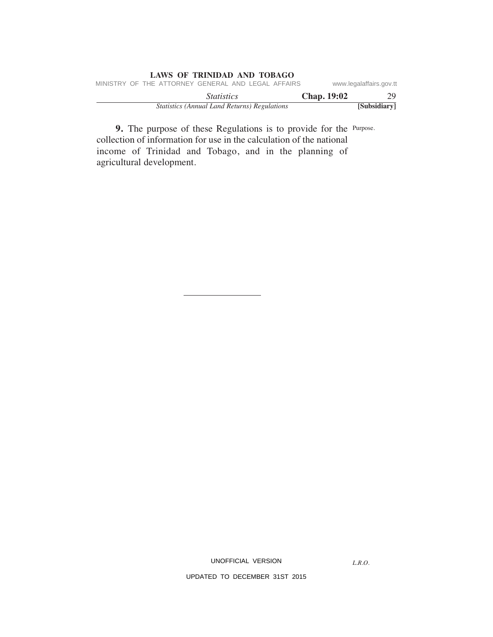| LAWS OF TRINIDAD AND TOBAGO                         |                    |                         |  |  |
|-----------------------------------------------------|--------------------|-------------------------|--|--|
| MINISTRY OF THE ATTORNEY GENERAL AND LEGAL AFFAIRS  |                    | www.legalaffairs.gov.tt |  |  |
| <i>Statistics</i>                                   | <b>Chap.</b> 19:02 | 29                      |  |  |
| <b>Statistics (Annual Land Returns) Regulations</b> |                    | [Subsidiary]            |  |  |

**9.** The purpose of these Regulations is to provide for the Purpose. collection of information for use in the calculation of the national income of Trinidad and Tobago, and in the planning of agricultural development.

UNOFFICIAL VERSION

*L.R.O.*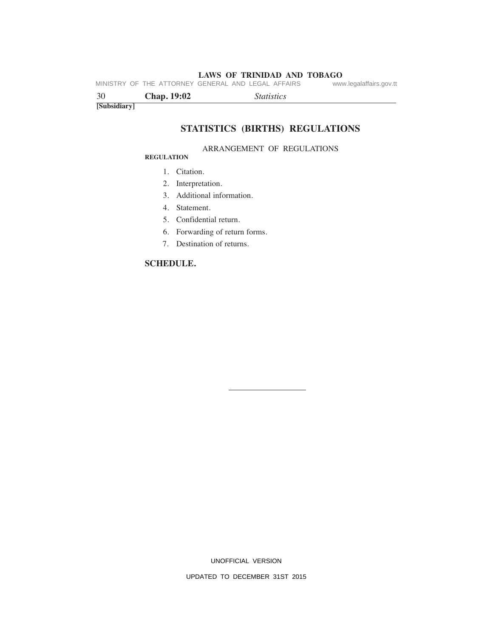**LAWS OF TRINIDAD AND TOBAGO**<br>GENERAL AND LEGAL AFFAIRS www.legalaffairs.gov.tt MINISTRY OF THE ATTORNEY GENERAL AND LEGAL AFFAIRS

| 30           | <b>Chap. 19:02</b> | <i>Statistics</i> |
|--------------|--------------------|-------------------|
| [Subsidiary] |                    |                   |

# **STATISTICS (BIRTHS) REGULATIONS**

#### ARRANGEMENT OF REGULATIONS

#### **REGULATION**

- 1. Citation.
- 2. Interpretation.
- 3. Additional information.
- 4. Statement.
- 5. Confidential return.
- 6. Forwarding of return forms.
- 7. Destination of returns.

# **SCHEDULE.**

UNOFFICIAL VERSION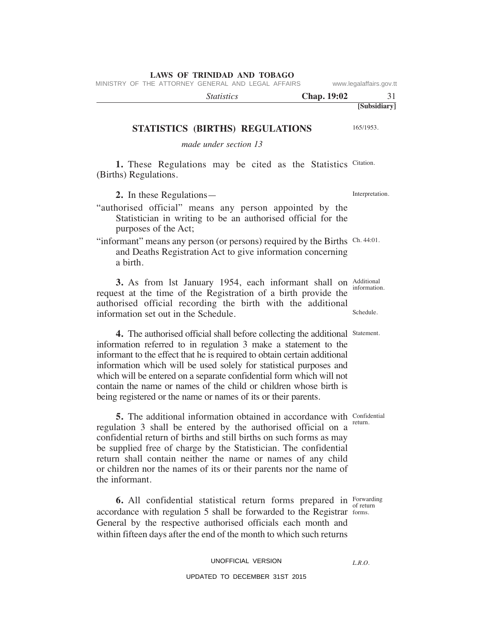MINISTRY OF THE ATTORNEY GENERAL AND LEGAL AFFAIRS www.legalaffairs.gov.tt

| <i>Statistics</i> | <b>Chap.</b> 19:02 |              |
|-------------------|--------------------|--------------|
|                   |                    | [Subsidiary] |

# **STATISTICS (BIRTHS) REGULATIONS**

*made under section 13*

1. These Regulations may be cited as the Statistics Citation. (Births) Regulations.

**2.** In these Regulations—

- "authorised official" means any person appointed by the Statistician in writing to be an authorised official for the purposes of the Act;
- "informant" means any person (or persons) required by the Births Ch. 44:01. and Deaths Registration Act to give information concerning a birth.

**3.** As from lst January 1954, each informant shall on Additional information. Schedule. request at the time of the Registration of a birth provide the authorised official recording the birth with the additional information set out in the Schedule.

**4.** The authorised official shall before collecting the additional Statement. information referred to in regulation 3 make a statement to the informant to the effect that he is required to obtain certain additional information which will be used solely for statistical purposes and which will be entered on a separate confidential form which will not contain the name or names of the child or children whose birth is being registered or the name or names of its or their parents.

Confidential **5.** The additional information obtained in accordance with confidently regulation 3 shall be entered by the authorised official on a confidential return of births and still births on such forms as may be supplied free of charge by the Statistician. The confidential return shall contain neither the name or names of any child or children nor the names of its or their parents nor the name of the informant.

**6.** All confidential statistical return forms prepared in Forwarding accordance with regulation 5 shall be forwarded to the Registrar forms. General by the respective authorised officials each month and within fifteen days after the end of the month to which such returns

#### UNOFFICIAL VERSION

#### UPDATED TO DECEMBER 31ST 2015

of return

*L.R.O.* 

Interpretation.

165/1953.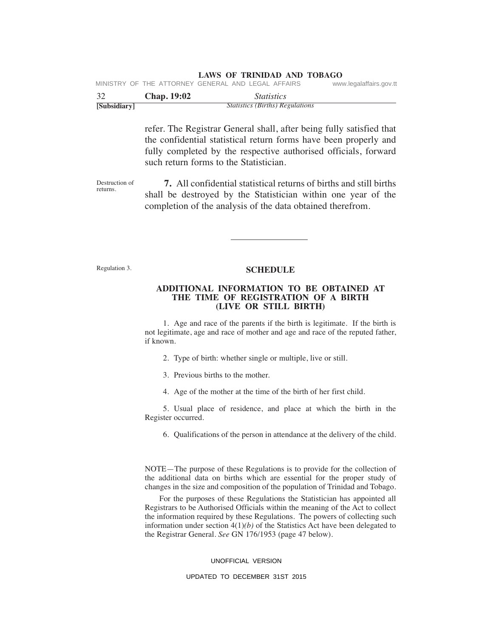| 32 | <b>Chap.</b> 19:02 | <i>Statistics</i>                                  |                         |
|----|--------------------|----------------------------------------------------|-------------------------|
|    |                    | MINISTRY OF THE ATTORNEY GENERAL AND LEGAL AFFAIRS | www.legalaffairs.gov.tt |

|              | Cnap. 19:02 | statistics                      |  |
|--------------|-------------|---------------------------------|--|
| [Subsidiary] |             | Statistics (Births) Regulations |  |

refer. The Registrar General shall, after being fully satisfied that the confidential statistical return forms have been properly and fully completed by the respective authorised officials, forward such return forms to the Statistician.

Destruction of returns.  **7.** All confidential statistical returns of births and still births shall be destroyed by the Statistician within one year of the completion of the analysis of the data obtained therefrom.

Regulation 3.

### **SCHEDULE**

#### **ADDITIONAL INFORMATION TO BE OBTAINED AT THE TIME OF REGISTRATION OF A BIRTH (LIVE OR STILL BIRTH)**

 1. Age and race of the parents if the birth is legitimate. If the birth is not legitimate, age and race of mother and age and race of the reputed father, if known.

2. Type of birth: whether single or multiple, live or still.

3. Previous births to the mother.

4. Age of the mother at the time of the birth of her first child.

 5. Usual place of residence, and place at which the birth in the Register occurred.

6. Qualifications of the person in attendance at the delivery of the child.

NOTE—The purpose of these Regulations is to provide for the collection of the additional data on births which are essential for the proper study of changes in the size and composition of the population of Trinidad and Tobago.

 For the purposes of these Regulations the Statistician has appointed all Registrars to be Authorised Officials within the meaning of the Act to collect the information required by these Regulations. The powers of collecting such information under section  $4(1)(b)$  of the Statistics Act have been delegated to the Registrar General. *See* GN 176/1953 (page 47 below).

#### UNOFFICIAL VERSION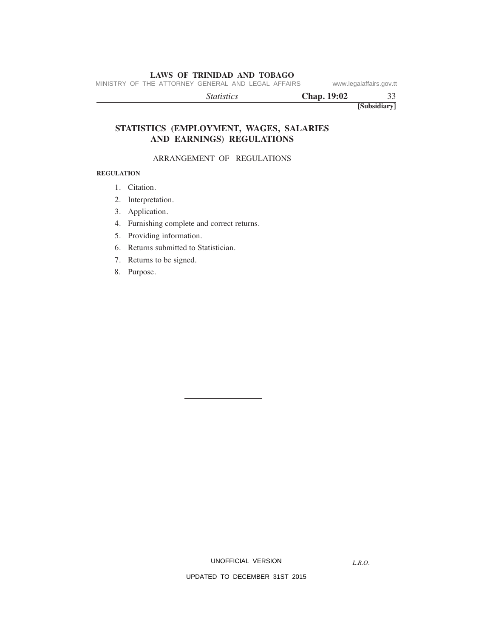MINISTRY OF THE ATTORNEY GENERAL AND LEGAL AFFAIRS www.legalaffairs.gov.tt

 *Statistics* **Chap. 19:02** 33

**[Subsidiary]**

# **STATISTICS (EMPLOYMENT, WAGES, SALARIES AND EARNINGS) REGULATIONS**

# ARRANGEMENT OF REGULATIONS

# **REGULATION**

- 1. Citation.
- 2. Interpretation.
- 3. Application.
- 4. Furnishing complete and correct returns.
- 5. Providing information.
- 6. Returns submitted to Statistician.
- 7. Returns to be signed.
- 8. Purpose.

UNOFFICIAL VERSION

*L.R.O.*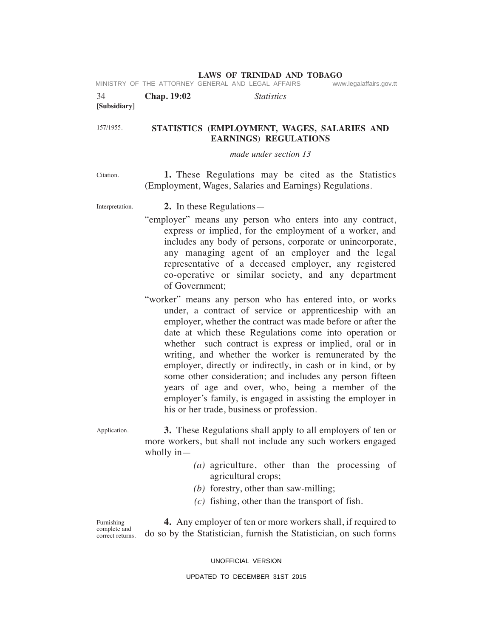|                 |                | MINISTRY OF THE ATTORNEY GENERAL AND LEGAL AFFAIRS                                                                                                                                                                                                                                                                                                                                                                                                                                                                                                                                                                                                          | www.legalaffairs.gov.tt |
|-----------------|----------------|-------------------------------------------------------------------------------------------------------------------------------------------------------------------------------------------------------------------------------------------------------------------------------------------------------------------------------------------------------------------------------------------------------------------------------------------------------------------------------------------------------------------------------------------------------------------------------------------------------------------------------------------------------------|-------------------------|
| 34              | Chap. 19:02    | <i>Statistics</i>                                                                                                                                                                                                                                                                                                                                                                                                                                                                                                                                                                                                                                           |                         |
| [Subsidiary]    |                |                                                                                                                                                                                                                                                                                                                                                                                                                                                                                                                                                                                                                                                             |                         |
| 157/1955.       |                | STATISTICS (EMPLOYMENT, WAGES, SALARIES AND<br><b>EARNINGS) REGULATIONS</b>                                                                                                                                                                                                                                                                                                                                                                                                                                                                                                                                                                                 |                         |
|                 |                | made under section 13                                                                                                                                                                                                                                                                                                                                                                                                                                                                                                                                                                                                                                       |                         |
| Citation.       |                | 1. These Regulations may be cited as the Statistics<br>(Employment, Wages, Salaries and Earnings) Regulations.                                                                                                                                                                                                                                                                                                                                                                                                                                                                                                                                              |                         |
| Interpretation. |                | 2. In these Regulations—                                                                                                                                                                                                                                                                                                                                                                                                                                                                                                                                                                                                                                    |                         |
|                 | of Government: | "employer" means any person who enters into any contract,<br>express or implied, for the employment of a worker, and<br>includes any body of persons, corporate or unincorporate,<br>any managing agent of an employer and the legal<br>representative of a deceased employer, any registered<br>co-operative or similar society, and any department                                                                                                                                                                                                                                                                                                        |                         |
|                 |                | "worker" means any person who has entered into, or works<br>under, a contract of service or apprenticeship with an<br>employer, whether the contract was made before or after the<br>date at which these Regulations come into operation or<br>whether such contract is express or implied, oral or in<br>writing, and whether the worker is remunerated by the<br>employer, directly or indirectly, in cash or in kind, or by<br>some other consideration; and includes any person fifteen<br>years of age and over, who, being a member of the<br>employer's family, is engaged in assisting the employer in<br>his or her trade, business or profession. |                         |

Application.

 **3.** These Regulations shall apply to all employers of ten or more workers, but shall not include any such workers engaged wholly in—

- *(a)* agriculture, other than the processing of agricultural crops;
- *(b)* forestry, other than saw-milling;
- *(c)* fishing, other than the transport of fish.

Furnishing complete and correct returns.

 **4.** Any employer of ten or more workers shall, if required to do so by the Statistician, furnish the Statistician, on such forms

UNOFFICIAL VERSION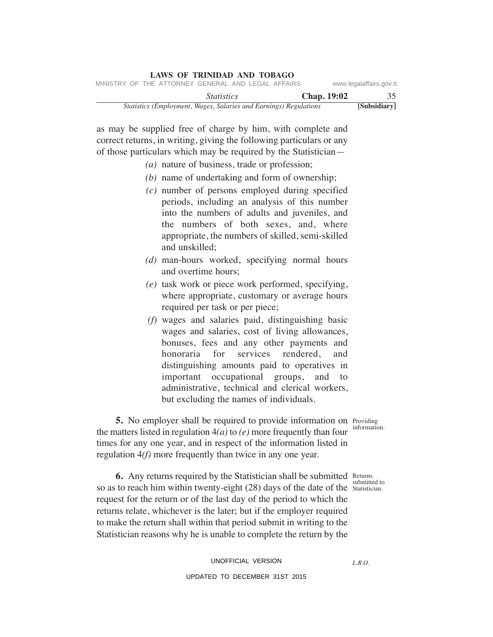|                         |               |                                                                   | LAWS OF INIMIDAD AND TODAGO |  |  |
|-------------------------|---------------|-------------------------------------------------------------------|-----------------------------|--|--|
| www.legalaffairs.gov.tt |               | MINISTRY OF THE ATTORNEY GENERAL AND LEGAL AFFAIRS                |                             |  |  |
| 35                      | Chap. $19:02$ |                                                                   | <i>Statistics</i>           |  |  |
| [Subsidiary]            |               | Statistics (Employment, Wages, Salaries and Earnings) Regulations |                             |  |  |

as may be supplied free of charge by him, with complete and correct returns, in writing, giving the following particulars or any of those particulars which may be required by the Statistician—

**LAWS OF TRINIDAD AND TOBAGO**

- *(a)* nature of business, trade or profession;
- *(b)* name of undertaking and form of ownership;
- *(c)* number of persons employed during specified periods, including an analysis of this number into the numbers of adults and juveniles, and the numbers of both sexes, and, where appropriate, the numbers of skilled, semi-skilled and unskilled;
- *(d)* man-hours worked, specifying normal hours and overtime hours;
- *(e)* task work or piece work performed, specifying, where appropriate, customary or average hours required per task or per piece;
- *(f)* wages and salaries paid, distinguishing basic wages and salaries, cost of living allowances, bonuses, fees and any other payments and honoraria for services rendered, and distinguishing amounts paid to operatives in important occupational groups, and to administrative, technical and clerical workers, but excluding the names of individuals.

Providing **5.** No employer shall be required to provide information on Providing an enterministed in morphiston  $A(x)$  to  $(x)$  more frequently than form information. the matters listed in regulation 4*(a)* to *(e)* more frequently than four times for any one year, and in respect of the information listed in

**6.** Any returns required by the Statistician shall be submitted Returns submitted to so as to reach him within twenty-eight  $(28)$  days of the date of the statistician. request for the return or of the last day of the period to which the returns relate, whichever is the later; but if the employer required to make the return shall within that period submit in writing to the Statistician reasons why he is unable to complete the return by the

regulation 4*(f)* more frequently than twice in any one year.

UNOFFICIAL VERSION UPDATED TO DECEMBER 31ST 2015

*L.R.O.*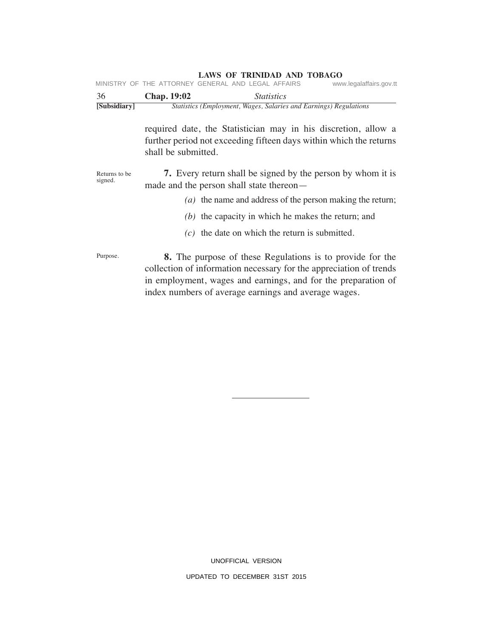|                          | MINISTRY OF THE ATTORNEY GENERAL AND LEGAL AFFAIRS |                                                                                                                                                                                                                                                                 | www.legalaffairs.gov.tt |
|--------------------------|----------------------------------------------------|-----------------------------------------------------------------------------------------------------------------------------------------------------------------------------------------------------------------------------------------------------------------|-------------------------|
| 36                       | Chap. 19:02                                        | <i>Statistics</i>                                                                                                                                                                                                                                               |                         |
| [Subsidiary]             |                                                    | Statistics (Employment, Wages, Salaries and Earnings) Regulations                                                                                                                                                                                               |                         |
|                          | shall be submitted.                                | required date, the Statistician may in his discretion, allow a<br>further period not exceeding fifteen days within which the returns                                                                                                                            |                         |
| Returns to be<br>signed. | made and the person shall state thereon—           | <b>7.</b> Every return shall be signed by the person by whom it is                                                                                                                                                                                              |                         |
|                          |                                                    | $(a)$ the name and address of the person making the return;                                                                                                                                                                                                     |                         |
|                          |                                                    | $(b)$ the capacity in which he makes the return; and                                                                                                                                                                                                            |                         |
|                          |                                                    | $(c)$ the date on which the return is submitted.                                                                                                                                                                                                                |                         |
| Purpose.                 |                                                    | <b>8.</b> The purpose of these Regulations is to provide for the<br>collection of information necessary for the appreciation of trends<br>in employment, wages and earnings, and for the preparation of<br>index numbers of average earnings and average wages. |                         |

UNOFFICIAL VERSION UPDATED TO DECEMBER 31ST 2015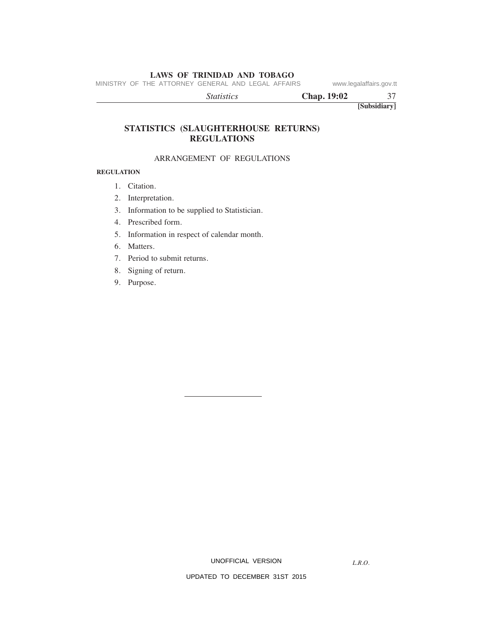MINISTRY OF THE ATTORNEY GENERAL AND LEGAL AFFAIRS www.legalaffairs.gov.tt

 *Statistics* **Chap. 19:02** 37

**[Subsidiary]**

# **STATISTICS (SLAUGHTERHOUSE RETURNS) REGULATIONS**

#### ARRANGEMENT OF REGULATIONS

#### **REGULATION**

- 1. Citation.
- 2. Interpretation.
- 3. Information to be supplied to Statistician.
- 4. Prescribed form.
- 5. Information in respect of calendar month.
- 6. Matters.
- 7. Period to submit returns.
- 8. Signing of return.
- 9. Purpose.

*L.R.O.*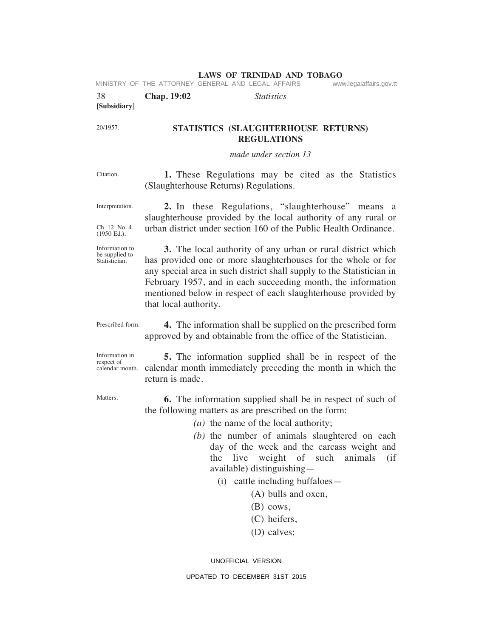|                                                   |                       | <b>LAWS OF TRINIDAD AND TOBAGO</b><br>MINISTRY OF THE ATTORNEY GENERAL AND LEGAL AFFAIRS                                                                                                                                                                                                                                                                                                                                                       | www.legalaffairs.gov.tt |
|---------------------------------------------------|-----------------------|------------------------------------------------------------------------------------------------------------------------------------------------------------------------------------------------------------------------------------------------------------------------------------------------------------------------------------------------------------------------------------------------------------------------------------------------|-------------------------|
| 38                                                | Chap. 19:02           | <i>Statistics</i>                                                                                                                                                                                                                                                                                                                                                                                                                              |                         |
| [Subsidiary]                                      |                       |                                                                                                                                                                                                                                                                                                                                                                                                                                                |                         |
| 20/1957.                                          |                       | STATISTICS (SLAUGHTERHOUSE RETURNS)<br><b>REGULATIONS</b>                                                                                                                                                                                                                                                                                                                                                                                      |                         |
|                                                   |                       | made under section 13                                                                                                                                                                                                                                                                                                                                                                                                                          |                         |
| Citation.                                         |                       | 1. These Regulations may be cited as the Statistics<br>(Slaughterhouse Returns) Regulations.                                                                                                                                                                                                                                                                                                                                                   |                         |
| Interpretation.                                   |                       | 2. In these Regulations, "slaughterhouse" means<br>slaughterhouse provided by the local authority of any rural or                                                                                                                                                                                                                                                                                                                              | a a                     |
| Ch. 12. No. 4.<br>$(1950 \text{ Ed.}).$           |                       | urban district under section 160 of the Public Health Ordinance.                                                                                                                                                                                                                                                                                                                                                                               |                         |
| Information to<br>be supplied to<br>Statistician. | that local authority. | 3. The local authority of any urban or rural district which<br>has provided one or more slaughterhouses for the whole or for<br>any special area in such district shall supply to the Statistician in<br>February 1957, and in each succeeding month, the information<br>mentioned below in respect of each slaughterhouse provided by                                                                                                         |                         |
| Prescribed form.                                  |                       | 4. The information shall be supplied on the prescribed form<br>approved by and obtainable from the office of the Statistician.                                                                                                                                                                                                                                                                                                                 |                         |
| Information in<br>respect of<br>calendar month.   | return is made.       | 5. The information supplied shall be in respect of the<br>calendar month immediately preceding the month in which the                                                                                                                                                                                                                                                                                                                          |                         |
| Matters.                                          |                       | <b>6.</b> The information supplied shall be in respect of such of<br>the following matters as are prescribed on the form:<br>(a) the name of the local authority;<br>$(b)$ the number of animals slaughtered on each<br>day of the week and the carcass weight and<br>live weight of such animals<br>the<br>available) distinguishing-<br>(i) cattle including buffaloes—<br>(A) bulls and oxen,<br>$(B)$ cows,<br>(C) heifers,<br>(D) calves; | (i f)                   |

UNOFFICIAL VERSION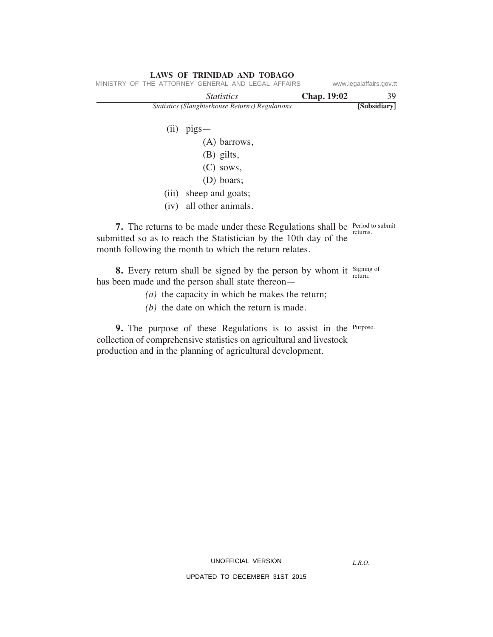| LAWS OF TRINIDAD AND TOBAGO                            |                    |                         |
|--------------------------------------------------------|--------------------|-------------------------|
| MINISTRY OF THE ATTORNEY GENERAL AND LEGAL AFFAIRS     |                    | www.legalaffairs.gov.tt |
| <i>Statistics</i>                                      | <b>Chap. 19:02</b> | 39                      |
| <b>Statistics (Slaughterhouse Returns) Regulations</b> |                    | [Subsidiary]            |
|                                                        |                    |                         |
| $(ii)$ pigs —                                          |                    |                         |
| (A) barrows,                                           |                    |                         |
| (B) gilts,                                             |                    |                         |
| $\sim$ $\sim$ $\sim$                                   |                    |                         |

- (C) sows, (D) boars;
- (iii) sheep and goats;
- (iv) all other animals.

month following the month to which the return relates.

**7.** The returns to be made under these Regulations shall be Period to submit returns. submitted so as to reach the Statistician by the 10th day of the

Signing of **8.** Every return shall be signed by the person by whom it signing has been made and the person shall state thereon—

- *(a)* the capacity in which he makes the return;
- *(b)* the date on which the return is made.

**9.** The purpose of these Regulations is to assist in the Purpose. collection of comprehensive statistics on agricultural and livestock production and in the planning of agricultural development.

*L.R.O.*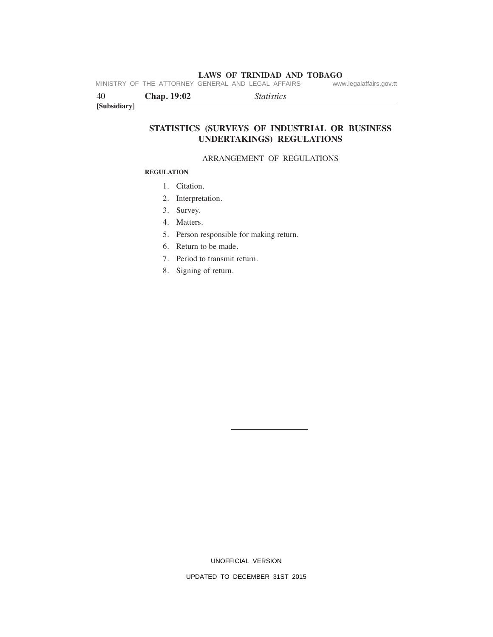**LAWS OF TRINIDAD AND TOBAGO**<br>GENERAL AND LEGAL AFFAIRS www.legalaffairs.gov.tt MINISTRY OF THE ATTORNEY GENERAL AND LEGAL AFFAIRS

| 40           | <b>Chap. 19:02</b> | <i>Statistics</i> |
|--------------|--------------------|-------------------|
| [Subsidiary] |                    |                   |

# **STATISTICS (SURVEYS OF INDUSTRIAL OR BUSINESS UNDERTAKINGS) REGULATIONS**

#### ARRANGEMENT OF REGULATIONS

#### **REGULATION**

- 1. Citation.
- 2. Interpretation.
- 3. Survey.
- 4. Matters.
- 5. Person responsible for making return.
- 6. Return to be made.
- 7. Period to transmit return.
- 8. Signing of return.

UNOFFICIAL VERSION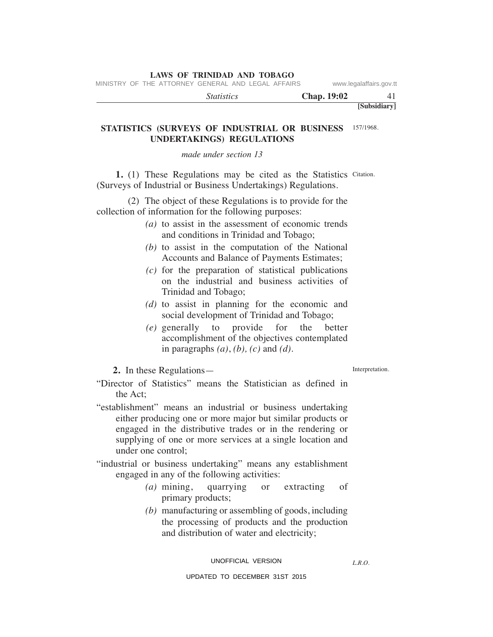MINISTRY OF THE ATTORNEY GENERAL AND LEGAL AFFAIRS www.legalaffairs.gov.tt

| <i>Statistics</i> | Chap. 19:02 |              |
|-------------------|-------------|--------------|
|                   |             | [Subsidiary] |

# STATISTICS (SURVEYS OF INDUSTRIAL OR BUSINESS 157/1968. **UNDERTAKINGS) REGULATIONS**

### *made under section 13*

1. (1) These Regulations may be cited as the Statistics Citation. (Surveys of Industrial or Business Undertakings) Regulations.

 (2) The object of these Regulations is to provide for the collection of information for the following purposes:

- *(a)* to assist in the assessment of economic trends and conditions in Trinidad and Tobago;
- *(b)* to assist in the computation of the National Accounts and Balance of Payments Estimates;
- *(c)* for the preparation of statistical publications on the industrial and business activities of Trinidad and Tobago;
- *(d)* to assist in planning for the economic and social development of Trinidad and Tobago;
- *(e)* generally to provide for the better accomplishment of the objectives contemplated in paragraphs *(a)*, *(b), (c)* and *(d)*.

**2.** In these Regulations—

Interpretation.

- "Director of Statistics" means the Statistician as defined in the Act;
- "establishment" means an industrial or business undertaking either producing one or more major but similar products or engaged in the distributive trades or in the rendering or supplying of one or more services at a single location and under one control;
- "industrial or business undertaking" means any establishment engaged in any of the following activities:
	- *(a)* mining, quarrying or extracting of primary products;
	- *(b)* manufacturing or assembling of goods, including the processing of products and the production and distribution of water and electricity;

UNOFFICIAL VERSION

*L.R.O.*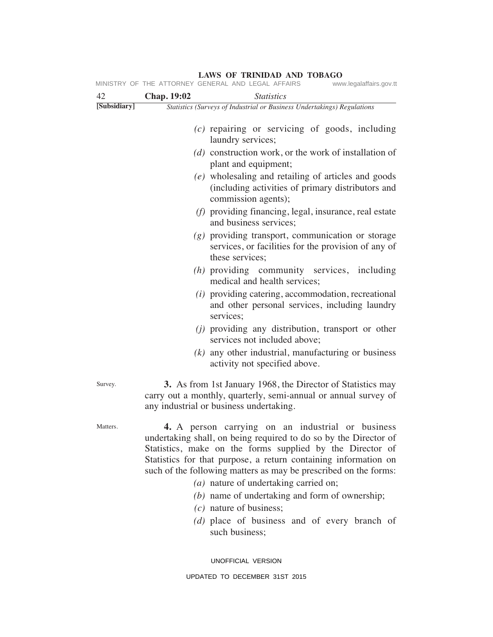|              | MINISTRY OF THE ATTORNEY GENERAL AND LEGAL AFFAIRS<br>www.legalaffairs.gov.tt                                                                                                                                                                                                                                                                                                                                        |
|--------------|----------------------------------------------------------------------------------------------------------------------------------------------------------------------------------------------------------------------------------------------------------------------------------------------------------------------------------------------------------------------------------------------------------------------|
| 42           | <b>Chap. 19:02</b><br><i>Statistics</i>                                                                                                                                                                                                                                                                                                                                                                              |
| [Subsidiary] | <b>Statistics (Surveys of Industrial or Business Undertakings) Regulations</b>                                                                                                                                                                                                                                                                                                                                       |
|              | $(c)$ repairing or servicing of goods, including<br>laundry services;                                                                                                                                                                                                                                                                                                                                                |
|              | $(d)$ construction work, or the work of installation of<br>plant and equipment;                                                                                                                                                                                                                                                                                                                                      |
|              | (e) wholesaling and retailing of articles and goods<br>(including activities of primary distributors and<br>commission agents);                                                                                                                                                                                                                                                                                      |
|              | $(f)$ providing financing, legal, insurance, real estate<br>and business services;                                                                                                                                                                                                                                                                                                                                   |
|              | $(g)$ providing transport, communication or storage<br>services, or facilities for the provision of any of<br>these services;                                                                                                                                                                                                                                                                                        |
|              | (h) providing community services, including<br>medical and health services;                                                                                                                                                                                                                                                                                                                                          |
|              | $(i)$ providing catering, accommodation, recreational<br>and other personal services, including laundry<br>services;                                                                                                                                                                                                                                                                                                 |
|              | (i) providing any distribution, transport or other<br>services not included above;                                                                                                                                                                                                                                                                                                                                   |
|              | $(k)$ any other industrial, manufacturing or business<br>activity not specified above.                                                                                                                                                                                                                                                                                                                               |
| Survey.      | <b>3.</b> As from 1st January 1968, the Director of Statistics may<br>carry out a monthly, quarterly, semi-annual or annual survey of<br>any industrial or business undertaking.                                                                                                                                                                                                                                     |
| Matters.     | 4. A person carrying on an industrial or business<br>undertaking shall, on being required to do so by the Director of<br>Statistics, make on the forms supplied by the Director of<br>Statistics for that purpose, a return containing information on<br>such of the following matters as may be prescribed on the forms:<br>(a) nature of undertaking carried on;<br>(b) name of undertaking and form of ownership; |
|              |                                                                                                                                                                                                                                                                                                                                                                                                                      |

 *(c)* nature of business;

 *(d)* place of business and of every branch of such business;

UNOFFICIAL VERSION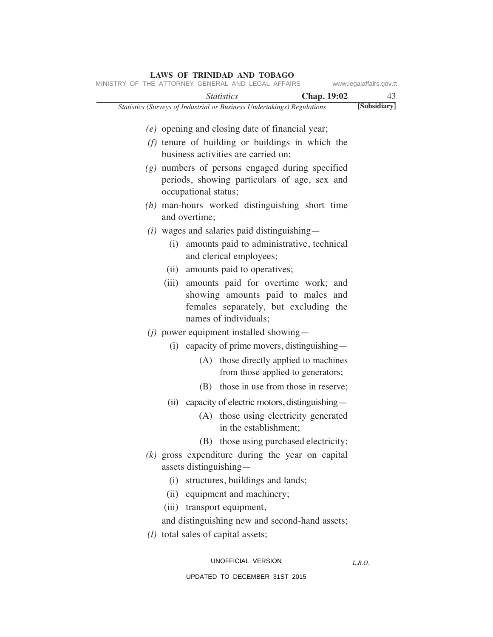| www.legalaffairs.gov.tt |                                                                                                                                                                                                                     | MINISTRY OF THE ATTORNEY GENERAL AND LEGAL AFFAIRS                                           |
|-------------------------|---------------------------------------------------------------------------------------------------------------------------------------------------------------------------------------------------------------------|----------------------------------------------------------------------------------------------|
| 43                      | <b>Chap.</b> 19:02                                                                                                                                                                                                  | <i>Statistics</i>                                                                            |
| [Subsidiary]            |                                                                                                                                                                                                                     | Statistics (Surveys of Industrial or Business Undertakings) Regulations                      |
|                         | (e) opening and closing date of financial year;                                                                                                                                                                     |                                                                                              |
|                         | $(f)$ tenure of building or buildings in which the<br>business activities are carried on;                                                                                                                           |                                                                                              |
|                         | $(g)$ numbers of persons engaged during specified<br>periods, showing particulars of age, sex and                                                                                                                   | occupational status;                                                                         |
|                         | $(h)$ man-hours worked distinguishing short time                                                                                                                                                                    | and overtime;                                                                                |
|                         | $(i)$ wages and salaries paid distinguishing —<br>(i) amounts paid to administrative, technical<br>and clerical employees;                                                                                          |                                                                                              |
|                         | (ii) amounts paid to operatives;<br>(iii) amounts paid for overtime work; and<br>showing amounts paid to males and<br>females separately, but excluding the<br>names of individuals;                                |                                                                                              |
|                         | $(j)$ power equipment installed showing —<br>$(i)$ capacity of prime movers, distinguishing —<br>(A) those directly applied to machines<br>from those applied to generators;<br>those in use from those in reserve; | (B)                                                                                          |
|                         | (ii) capacity of electric motors, distinguishing—<br>(A) those using electricity generated<br>in the establishment;<br>(B) those using purchased electricity;                                                       |                                                                                              |
|                         | $(k)$ gross expenditure during the year on capital<br>(i) structures, buildings and lands;<br>(ii) equipment and machinery;<br>and distinguishing new and second-hand assets;                                       | assets distinguishing-<br>(iii) transport equipment,<br>$(l)$ total sales of capital assets; |
| L.R.O.                  | UNOFFICIAL VERSION                                                                                                                                                                                                  |                                                                                              |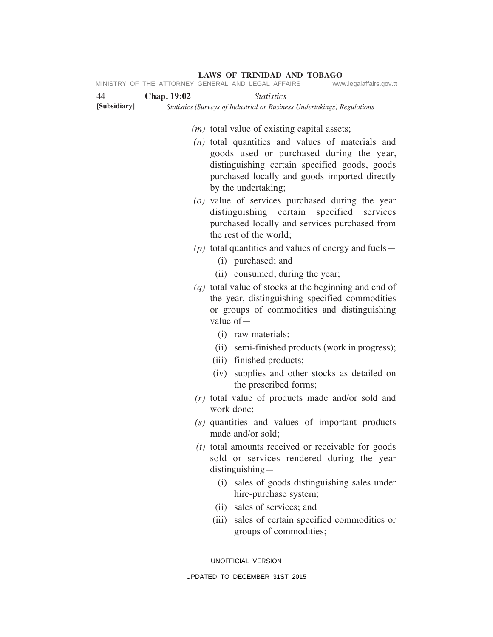| 44           | <b>Chap. 19:02</b> | <b>Statistics</b>                                                                                                                                                         |
|--------------|--------------------|---------------------------------------------------------------------------------------------------------------------------------------------------------------------------|
| [Subsidiary] |                    | Statistics (Surveys of Industrial or Business Undertakings) Regulations                                                                                                   |
|              |                    | $(m)$ total value of existing capital assets;                                                                                                                             |
|              |                    | $(n)$ total quantities and values of materials and                                                                                                                        |
|              |                    | goods used or purchased during the year,<br>distinguishing certain specified goods, goods<br>purchased locally and goods imported directly<br>by the undertaking;         |
|              |                    | $(o)$ value of services purchased during the year<br>distinguishing certain specified services<br>purchased locally and services purchased from<br>the rest of the world; |
|              |                    | $(p)$ total quantities and values of energy and fuels —<br>(i) purchased; and                                                                                             |
|              |                    | (ii) consumed, during the year;                                                                                                                                           |
|              |                    | $(q)$ total value of stocks at the beginning and end of<br>the year, distinguishing specified commodities<br>or groups of commodities and distinguishing<br>value $of-$   |
|              |                    | (i) raw materials;                                                                                                                                                        |
|              |                    | (ii) semi-finished products (work in progress);<br>(iii) finished products;                                                                                               |
|              |                    | supplies and other stocks as detailed on<br>(iv)<br>the prescribed forms;                                                                                                 |
|              |                    | $(r)$ total value of products made and/or sold and<br>work done;                                                                                                          |
|              |                    | (s) quantities and values of important products<br>made and/or sold;                                                                                                      |
|              |                    | $(t)$ total amounts received or receivable for goods<br>sold or services rendered during the year<br>distinguishing-                                                      |
|              |                    | (i) sales of goods distinguishing sales under<br>hire-purchase system;                                                                                                    |
|              |                    | sales of services; and<br>(ii)                                                                                                                                            |
|              |                    | (iii) sales of certain specified commodities or<br>groups of commodities;                                                                                                 |
|              |                    | UNOFFICIAL VERSION                                                                                                                                                        |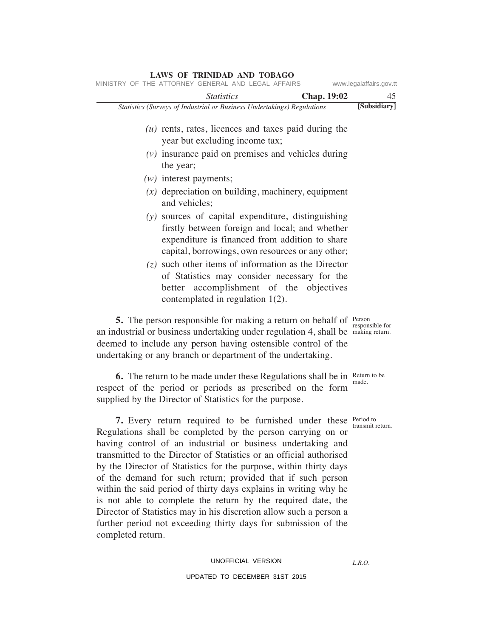| www.legalaffairs.gov.tt |                    | MINISTRY OF THE ATTORNEY GENERAL AND LEGAL AFFAIRS                                                                                                                                                                                                                                            |  |
|-------------------------|--------------------|-----------------------------------------------------------------------------------------------------------------------------------------------------------------------------------------------------------------------------------------------------------------------------------------------|--|
| 45                      | <b>Chap. 19:02</b> | <b>Statistics</b>                                                                                                                                                                                                                                                                             |  |
| [Subsidiary]            |                    | Statistics (Surveys of Industrial or Business Undertakings) Regulations                                                                                                                                                                                                                       |  |
|                         |                    | $(u)$ rents, rates, licences and taxes paid during the<br>year but excluding income tax;                                                                                                                                                                                                      |  |
|                         |                    | $(v)$ insurance paid on premises and vehicles during<br>the year;                                                                                                                                                                                                                             |  |
|                         |                    | $(w)$ interest payments;                                                                                                                                                                                                                                                                      |  |
|                         |                    | $(x)$ depreciation on building, machinery, equipment<br>and vehicles;                                                                                                                                                                                                                         |  |
|                         |                    | (y) sources of capital expenditure, distinguishing<br>firstly between foreign and local; and whether<br>expenditure is financed from addition to share<br>capital, borrowings, own resources or any other;                                                                                    |  |
|                         |                    | $(z)$ such other items of information as the Director<br>of Statistics may consider necessary for the<br>better accomplishment of the objectives<br>contemplated in regulation $1(2)$ .                                                                                                       |  |
| responsible for         |                    | <b>5.</b> The person responsible for making a return on behalf of Person<br>an industrial or business undertaking under regulation 4, shall be making return.<br>deemed to include any person having ostensible control of the<br>undertaking or any branch or department of the undertaking. |  |

**6.** The return to be made under these Regulations shall be in Return detections. respect of the period or periods as prescribed on the form supplied by the Director of Statistics for the purpose.

**7.** Every return required to be furnished under these Period to Regulations shall be completed by the person carrying on or having control of an industrial or business undertaking and transmitted to the Director of Statistics or an official authorised by the Director of Statistics for the purpose, within thirty days of the demand for such return; provided that if such person within the said period of thirty days explains in writing why he is not able to complete the return by the required date, the Director of Statistics may in his discretion allow such a person a further period not exceeding thirty days for submission of the completed return.

UPDATED TO DECEMBER 31ST 2015

Return to be

transmit return.

**LAWS OF TRINIDAD AND TOBAGO**

*L.R.O.*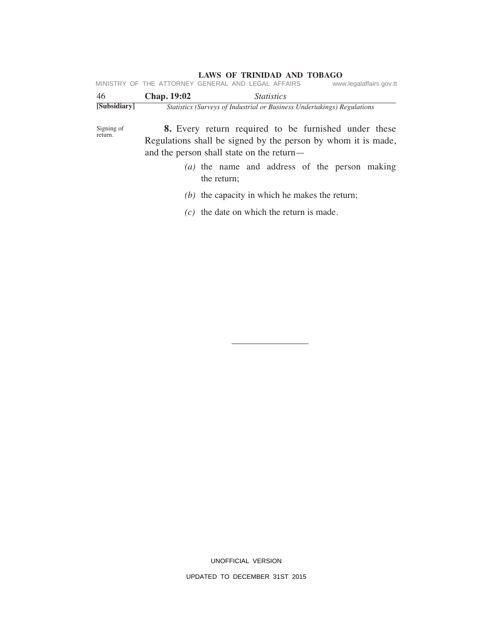| MINISTRY OF THE ATTORNEY GENERAL AND LEGAL AFFAIRS |                          |                                                                         |  |  |                   |                                                      | www.legalaffairs.gov.tt |  |
|----------------------------------------------------|--------------------------|-------------------------------------------------------------------------|--|--|-------------------|------------------------------------------------------|-------------------------|--|
| 46                                                 |                          | <b>Chap.</b> 19:02                                                      |  |  | <i>Statistics</i> |                                                      |                         |  |
| [Subsidiary]                                       |                          | Statistics (Surveys of Industrial or Business Undertakings) Regulations |  |  |                   |                                                      |                         |  |
| Signing of                                         |                          |                                                                         |  |  |                   | 8. Every return required to be furnished under these |                         |  |
| return.                                            | $\overline{\phantom{a}}$ |                                                                         |  |  |                   |                                                      |                         |  |

Regulations shall be signed by the person by whom it is made, and the person shall state on the return—

- *(a)* the name and address of the person making the return;
- *(b)* the capacity in which he makes the return;
- *(c)* the date on which the return is made.

UNOFFICIAL VERSION